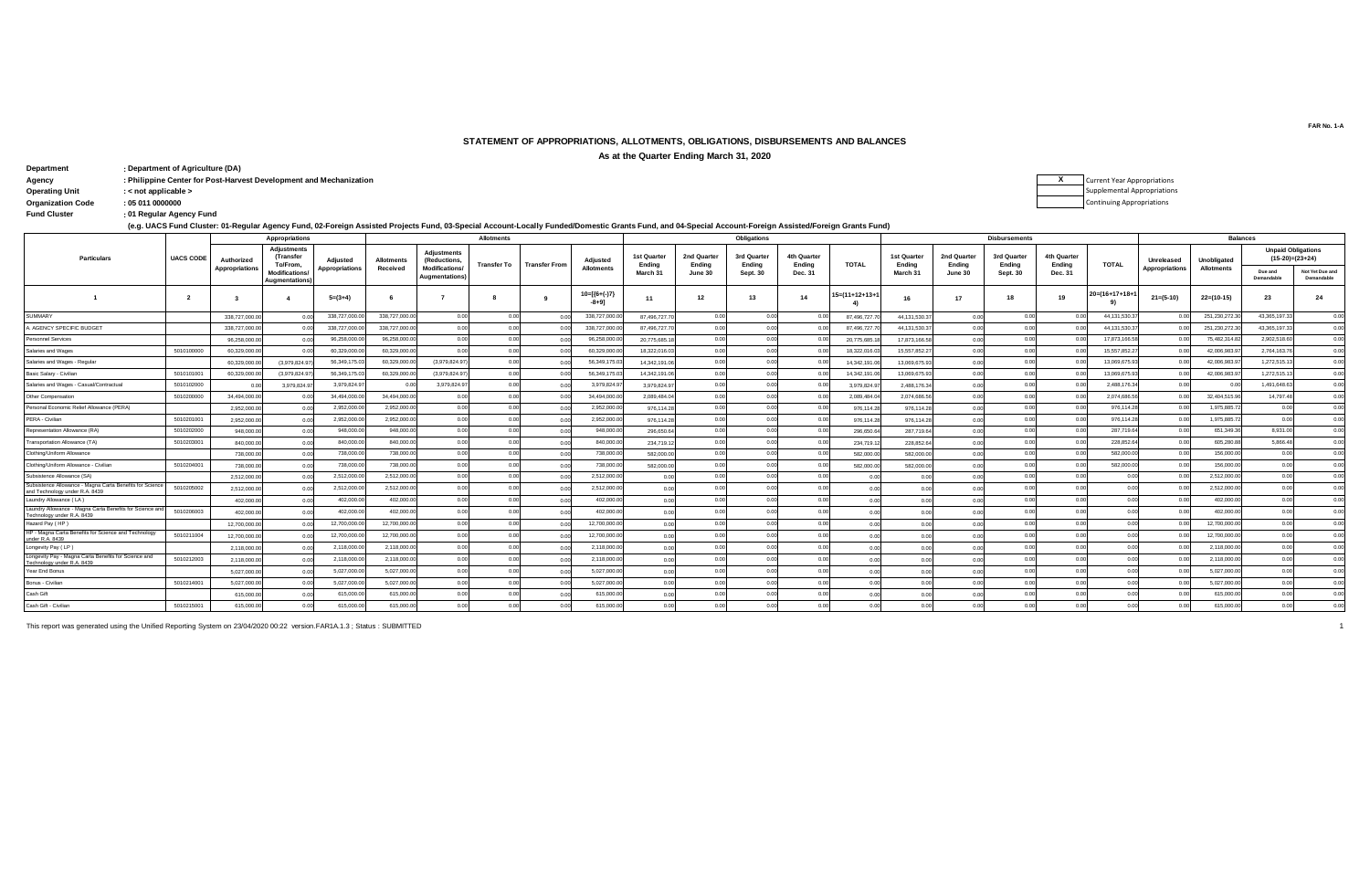## **STATEMENT OF APPROPRIATIONS, ALLOTMENTS, OBLIGATIONS, DISBURSEMENTS AND BALANCES**

**As at the Quarter Ending March 31, 2020**

| Department               | : Department of Agriculture (DA)                                   |  |
|--------------------------|--------------------------------------------------------------------|--|
| Agency                   | : Philippine Center for Post-Harvest Development and Mechanization |  |
| <b>Operating Unit</b>    | $:$ < not applicable $>$                                           |  |
| <b>Organization Code</b> | : 050110000000                                                     |  |
| <b>Fund Cluster</b>      | : 01 Regular Agency Fund                                           |  |

Current Year Appropriations Supplemental Appropriations Continuing Appropriations

| (e.g. UACS Fund Cluster: 01-Regular Agency Fund, 02-Foreign Assisted Projects Fund, 03-Special Account-Locally Funded/Domestic Grants Fund, and 04-Special Account-Foreign Assisted/Foreign Grants Fund) |  |
|----------------------------------------------------------------------------------------------------------------------------------------------------------------------------------------------------------|--|
|----------------------------------------------------------------------------------------------------------------------------------------------------------------------------------------------------------|--|

| $\cdot$ .                                                                                  |                  |                       |                                               |                       |                   |                                         |                    |                      |                            |                       |                       |                       |                       |                |                              |                       |                       |                       |                        |                 |                   |                                                |                               |
|--------------------------------------------------------------------------------------------|------------------|-----------------------|-----------------------------------------------|-----------------------|-------------------|-----------------------------------------|--------------------|----------------------|----------------------------|-----------------------|-----------------------|-----------------------|-----------------------|----------------|------------------------------|-----------------------|-----------------------|-----------------------|------------------------|-----------------|-------------------|------------------------------------------------|-------------------------------|
|                                                                                            |                  | Appropriations        |                                               |                       |                   | <b>Allotments</b>                       |                    |                      |                            |                       | Obligations           |                       |                       |                |                              | <b>Disbursements</b>  |                       |                       |                        | <b>Balances</b> |                   |                                                |                               |
| <b>Particulars</b>                                                                         | <b>UACS CODE</b> | Authorized            | <b>Adjustments</b><br>(Transfer<br>To/From.   | Adjusted              | <b>Allotments</b> | <b>Adjustments</b><br>(Reductions       | <b>Transfer To</b> | <b>Transfer From</b> | Adjusted                   | 1st Quarter<br>Ending | 2nd Quarter<br>Ending | 3rd Quarter<br>Ending | 4th Quarter<br>Ending | <b>TOTAL</b>   | <b>1st Quarter</b><br>Endina | 2nd Quarter<br>Ending | 3rd Quarter<br>Ending | 4th Quarter<br>Ending | <b>TOTAL</b>           | Unreleased      | Unobligated       | <b>Unpaid Obligations</b><br>$(15-20)=(23+24)$ |                               |
|                                                                                            |                  | <b>Appropriations</b> | <b>Modifications</b><br><b>Augmentations)</b> | <b>Appropriations</b> | Received          | Modifications/<br><b>Augmentations)</b> |                    |                      | <b>Allotments</b>          | March 31              | June 30               | Sept. 30              | Dec. 31               |                | March 31                     | June 30               | Sept. 30              | Dec. 31               |                        | Appropriations  | <b>Allotments</b> | Due and<br>Demandable                          | Not Yet Due and<br>Demandable |
|                                                                                            | $\overline{2}$   |                       |                                               | $5=(3+4)$             |                   |                                         |                    | - 9                  | $10=[(6+(-)7)$<br>$-8+9$ ] | 11                    | 12                    | 13                    | 14                    | I5=(11+12+13+1 | 16                           | 17                    | 18                    | 19                    | $20 = (16 + 17 + 18 +$ | $21 = (5-10)$   | $22=(10-15)$      | 23                                             | 24                            |
| <b>SUMMARY</b>                                                                             |                  | 338,727,000.0         |                                               | 338,727,000.          | 338,727,000.0     | 0.00                                    | 0.00               |                      | 338,727,000.00             | 87,496,727.70         | 0.00                  | 0.00                  | 0.00                  | 87,496,727.    | 44,131,530.3                 | 0.00                  | 0.00                  |                       | 44.131.530.3           | 00              | 251.230.272.3     | 43.365.197.33                                  | 0.00                          |
| AGENCY SPECIFIC BUDGET                                                                     |                  | 338,727,000.0         |                                               | 338,727,000           | 338,727,000.0     | 0.00                                    | 0.0                |                      | 338,727,000.0              | 87,496,727,70         | 0.00                  | 0.00                  |                       | 87,496,727.    | 44,131,530.3                 | 0.00                  | 0.00                  |                       | 44, 131, 530.3         |                 | 251,230,272.3     | 43,365,197.33                                  | 0.00                          |
| Personnel Services                                                                         |                  | 96,258,000.0          |                                               | 96,258,000.           | 96,258,000.0      | 0.00                                    | 0 <sub>0</sub>     | 00                   | 96,258,000.00              | 20,775,685.18         | 0.00                  | 0.00                  | 0.00                  | 20,775,685.    | 17,873,166.58                | 0.00                  | 0.00                  |                       | 17,873,166.5           | 00              | 75,482,314.8      | 2,902,518.60                                   | 0.00                          |
| Salaries and Wages                                                                         | 5010100000       | 60,329,000.0          |                                               | 60.329.000.           | 60.329.000.0      | 0.00                                    | 0 <sub>0</sub>     |                      | 60.329.000.0               | 18,322,016.03         | 0.00                  | 0.00                  |                       | 18,322,016.0   | 15,557,852.2                 |                       | 0.00                  |                       | 15.557.852.2           |                 | 42.006.983.9      | 2,764,163.76                                   | 0.00                          |
| Salaries and Wages - Regular                                                               |                  | 60.329.000.           | (3.979.824.9                                  | 56.349.175.           | 60.329.000.0      | (3.979.824.97                           | 0.00               | 0 <sub>0</sub>       | 56,349,175.0               | 14.342.191.06         |                       | 0.00                  |                       | 14.342.191.0   | 13.069.675.9                 | 0.00                  | 0.00                  |                       | 13,069,675.            | 0.00            | 42.006.983.9      | 1,272,515.13                                   | 0.00                          |
| Basic Salary - Civilian                                                                    | 5010101001       | 60,329,000.0          | (3,979,824.9)                                 | 56.349.175.           | 60.329.000.0      | (3,979,824.97                           | 0.00               |                      | 56,349,175.0               | 14,342,191.06         | 0.00                  | 0.00                  | 000                   | 14,342,191.0   | 13,069,675.93                |                       | 0.00                  |                       | 13.069.675.9           | 00              | 42.006.983.9      | 1,272,515.13                                   | 0.00                          |
| Salaries and Wages - Casual/Contractual                                                    | 5010102000       |                       | 3,979,824.9                                   | 3,979,824.9           | - 01              | 3.979.824.97                            | 0.00               | 0.00                 | 3.979.824.9                | 3.979.824.97          |                       | 0.00                  | 0.00                  | 3.979.824.9    | 2,488,176.34                 | 0.00                  | 0.00                  |                       | 2.488.176.3            | 0.00            | 0.00              | 1.491.648.63                                   | 0.00                          |
| Other Compensation                                                                         | 5010200000       | 34,494,000.0          |                                               | 34,494,000.           | 34,494,000.0      | 0.00                                    | 0 <sub>0</sub>     |                      | 34,494,000.0               | 2.089.484.04          |                       | 0.00                  |                       | 2.089.484.0    | 2.074.686.56                 | 0.00                  | 0.00                  |                       | 2,074,686.5            | 00              | 32,404,515.9      | 14,797.48                                      | 0.00                          |
| Personal Economic Relief Allowance (PERA)                                                  |                  | 2,952,000.0           |                                               | 2.952.000             | 2.952.000.0       | 0.00                                    | 0.00               | 0.00                 | 2.952.000.00               | 976,114.28            |                       | 0.00                  | 0.00                  | 976,114.2      | 976,114.28                   | 0.00                  | 0.00                  |                       | 976.114.2              | 0.00            | 1.975.885.7       | 0.00                                           | 0.00                          |
| PERA - Civilian                                                                            | 5010201001       | 2.952.000.0           |                                               | 2,952,000.            | 2.952.000.0       | 0.00                                    | 0 <sub>0</sub>     | 0.00                 | 2,952,000.0                | 976.114.28            | 0.00                  | 0.00                  | 0.00                  | 976,114.2      | 976.114.28                   | 0.00                  | 0.00                  |                       | 976,114.2              | 0.00            | 1,975,885.7       | 0.00                                           | 0.00                          |
| Representation Allowance (RA)                                                              | 5010202000       | 948,000.0             |                                               | 948,000.0             | 948,000.0         | 0.00                                    | 0.0                | 0 <sub>0</sub>       | 948,000.0                  | 296.650.64            | 00                    | 0.00                  | 0.00                  | 296,650.6      | 287,719.64                   |                       |                       |                       | 287,719.6              | 0.00            | 651,349.3         | 8.931.00                                       | 0.00                          |
| <b>Transportation Allowance (TA)</b>                                                       | 5010203001       | 840,000.0             |                                               | 840,000.0             | 840,000.0         | 0.00                                    | 0.00               | 0.00                 | 840,000.0                  | 234,719.12            |                       | 0.00                  | 000                   | 234,719.1      | 228,852.64                   | 0.00                  | 0.00                  |                       | 228,852.6              | 0.00            | 605,280.8         | 5.866.48                                       | 0.00                          |
| Clothing/Uniform Allowance                                                                 |                  | 738,000.0             |                                               | 738,000.0             | 738,000.0         | 0.00                                    | 0.0                | 0 <sub>0</sub>       | 738,000.00                 | 582,000.00            |                       | 0.00                  | 0.00                  | 582,000.0      | 582,000.00                   | 0.00                  | 0.00                  |                       | 582,000.0              | 0.00            | 156,000.00        | 0.00                                           | 0.00                          |
| Clothing/Uniform Allowance - Civilian                                                      | 5010204001       | 738,000.0             |                                               | 738,000.0             | 738,000.0         | 0.00                                    | 0.00               | 0.00                 | 738,000.00                 | 582.000.00            |                       | 0.00                  | 0.00                  | 582,000.0      | 582,000.00                   |                       | 0.00                  |                       | 582,000.0              | 00              | 156,000.0         | 0.00                                           | 0.00                          |
| Subsistence Allowance (SA)                                                                 |                  | 2,512,000.0           |                                               | 2,512,000.            | 2.512.000.0       | 0.00                                    | 0.0                | 0.00                 | 2.512.000.0                | 0.00                  |                       | 0.00                  | 0.00                  | 0 <sub>0</sub> |                              |                       |                       |                       |                        | 0.00            | 2.512.000.0       | 0.00                                           | 0.00                          |
| Subsistence Allowance - Magna Carta Benefits for Science<br>and Technology under R.A. 8439 | 5010205002       | 2,512,000.0           |                                               | 2,512,000.            | 2,512,000.0       | 0.00                                    | 0.0                |                      | 2.512.000.00               | 0.00                  |                       | 0.00                  | 0.00                  | 0 <sub>0</sub> |                              |                       |                       |                       |                        | 0.0             | 2.512.000.0       | 0.00                                           | 0.00                          |
| Laundry Allowance (LA)                                                                     |                  | 402.000.0             |                                               | 402.000.0             | 402,000.0         | 0.00                                    | 0.00               | 0.00                 | 402.000.0                  | 0.00                  |                       | 0.00                  | 0.00                  | 0.00           |                              | 0.00                  | 0.00                  | 0.00                  |                        | 00              | 402.000.0         | 0.00                                           | 0.00                          |
| Laundry Allowance - Magna Carta Benefits for Science and                                   | 5010206003       | 402,000.0             |                                               | 402,000.0             | 402,000.0         | 0.00                                    | 0.00               | 00                   | 402,000.00                 | 0.00                  |                       | 0.00                  | 0.00                  | 0 <sub>0</sub> |                              |                       |                       |                       | 00                     | 00              | 402,000.00        | 0.00                                           | 0.00                          |
| Technology under R.A. 8439<br>Hazard Pay (HP)                                              |                  | 12,700,000.0          |                                               | 12,700,000.           | 12,700,000.0      | 0.00                                    | 0 <sub>0</sub>     | 0.00                 | 12,700,000.00              | 0.00                  |                       | 0.00                  | 000                   | 0.00           |                              |                       | 0.00                  | 0.01                  |                        | 00              | 12,700,000.0      | 0 <sup>0<sup>c</sup></sup>                     | 0.00                          |
| HP - Magna Carta Benefits for Science and Technology                                       | 5010211004       | 12,700,000.0          |                                               | 12,700,000.           | 12,700,000.0      | 0.00                                    | 0 <sub>0</sub>     | 00                   | 12,700,000.00              | 0.00                  |                       | 0.00                  | 0.00                  | 0.00           | n nr                         |                       | 0.00                  | 0.01                  | 00                     | 00              | 12,700,000.0      | 0 <sup>0</sup>                                 | 0.00                          |
| under R.A. 8439<br>Longevity Pay (LP)                                                      |                  | 2,118,000.0           |                                               | 2.118.000             | 2.118.000.0       | 0.00                                    | 0.00               | 0.00                 | 2.118.000.00               | 0.00                  | 0.00                  | 0.00                  | 0.00                  | 0.00           | n nr                         |                       | 0.00                  | 0.00                  | 0 <sup>0</sup>         | 0.00            | 2.118.000.0       | 0.00                                           | 0.00                          |
| Longevity Pay - Magna Carta Benefits for Science and                                       | 5010212003       | 2.118.000.0           |                                               | 2.118.000             | 2.118.000.0       | 0.00                                    | 0.0                |                      | 2.118.000.00               | 0.00                  |                       | 0.00                  | 0.00                  |                |                              |                       |                       |                       |                        | 00              | 2.118.000.0       | 0 <sup>0<sup>c</sup></sup>                     | 0.00                          |
| echnology under R.A. 8439<br>Year End Bonus                                                |                  | 5.027.000.0           |                                               | 5.027.000.            | 5.027.000.0       | 0.00                                    | 0.00               | 0.00                 | 5.027.000.0                | 0.00                  | 0.00                  | 0.00                  | 0.00                  | 0.00           | n nr                         | 0.00                  | 0.00                  | 0.00                  | 0.00                   | 0.00            | 5.027.000.0       | 0.00                                           | 0.00                          |
| Bonus - Civilian                                                                           | 5010214001       | 5,027,000.00          |                                               | 5,027,000.0           | 5,027,000.0       | 0.00                                    | 0.0                | 00                   | 5,027,000.00               | 0.00                  | 0.00                  | 0.00                  | 0.00                  | 0.00           |                              |                       | 0.00                  |                       | 0 <sup>0</sup>         | 00              | 5,027,000.0       | 0.00                                           | 0.00                          |
| Cash Gift                                                                                  |                  | 615,000.0             |                                               | 615,000.0             | 615,000.0         | 0.00                                    | 0 <sub>0</sub>     |                      | 615,000.0                  | 0.00                  |                       | 0.00                  | 00                    |                |                              |                       |                       |                       |                        | 00              | 615,000.0         | 0 <sup>0<sup>c</sup></sup>                     | 0.00                          |
| Cash Gift - Civilian                                                                       | 5010215001       | 615,000.00            |                                               | 615,000.0             | 615,000.0         | 0.00                                    | 0.00               | 0.00                 | 615,000.00                 | 0.00                  | 0.00                  | 0.00                  | 0.00                  | 0.00           | 0.00                         | 0.00                  | 0.00                  | 0.00                  | 0.00                   | 0.00            | 615,000.00        | 0.00                                           | 0.00                          |

This report was generated using the Unified Reporting System on 23/04/2020 00:22 version.FAR1A.1.3 ; Status : SUBMITTED 1

**FAR No. 1-A**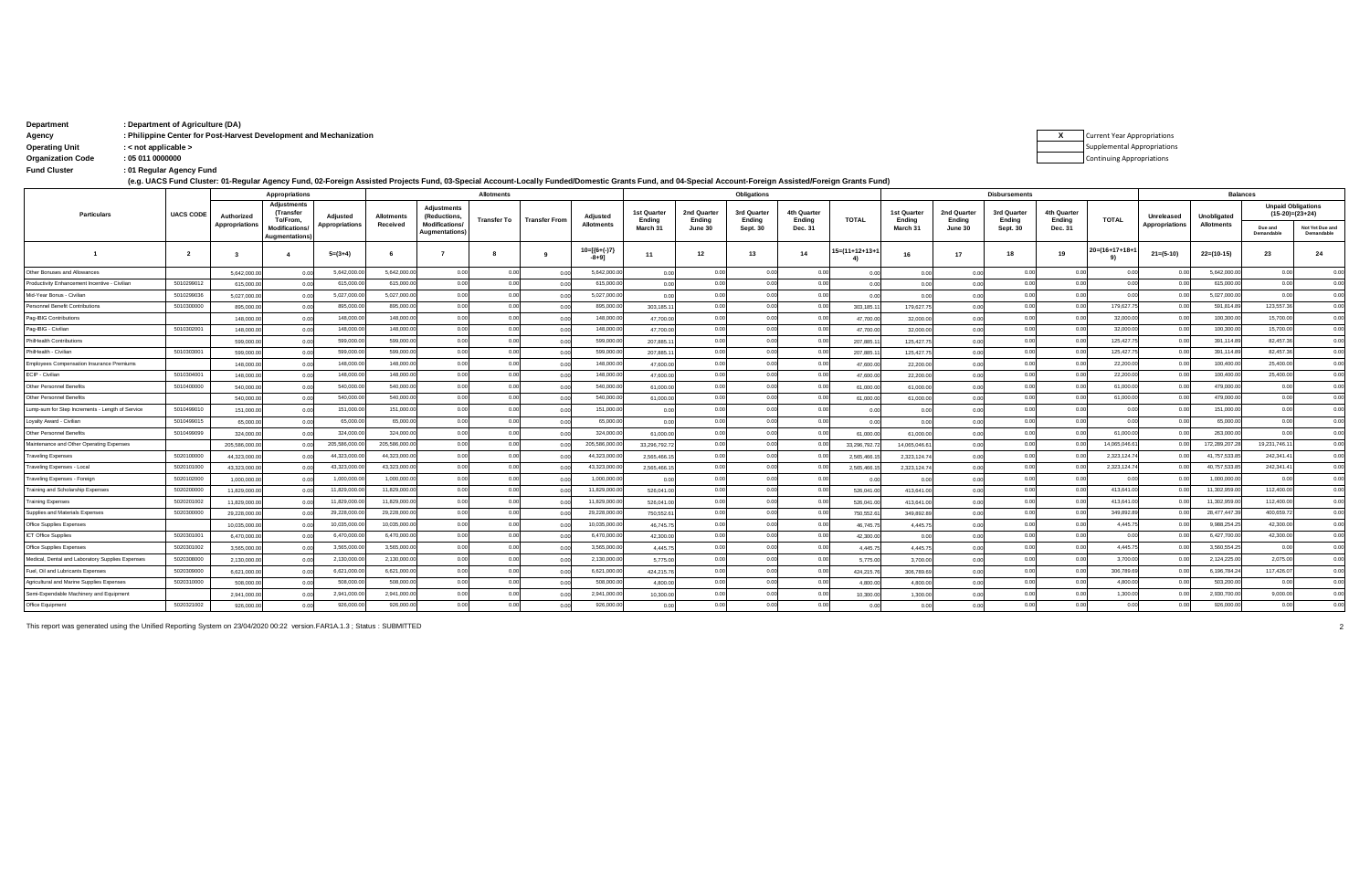| Department            | : Department of Agriculture (DA)                                   |
|-----------------------|--------------------------------------------------------------------|
| Agency                | : Philippine Center for Post-Harvest Development and Mechanization |
| <b>Operating Unit</b> | $:$ < not applicable >                                             |
| Organization Code     | . 05 011 0000000                                                   |

Organization<br>Fund Cluster : 01 Regular Agency Fund

(e.g. UACS Fund Cluster: 01-Regular Agency Fund, 02-Foreign Assisted Projects Fund, 03-Special Account-Locally Funded/Domestic Grants Fund, and 04-Special Account-Foreign Assisted/Foreign Grants Fund)

| <b>Appropriations</b><br>Adiustments             |                  |                              |                                        |                                   |                               |                                                            | <b>Allotments</b> |                      |                               |                       | Obligations                |                       |                       |                       |                       |                       |                       |                       | <b>Balances</b> |                                     |                           |                                                |                               |
|--------------------------------------------------|------------------|------------------------------|----------------------------------------|-----------------------------------|-------------------------------|------------------------------------------------------------|-------------------|----------------------|-------------------------------|-----------------------|----------------------------|-----------------------|-----------------------|-----------------------|-----------------------|-----------------------|-----------------------|-----------------------|-----------------|-------------------------------------|---------------------------|------------------------------------------------|-------------------------------|
| <b>Particulars</b>                               | <b>UACS CODE</b> | Authorized<br>Appropriations | (Transfer<br>To/From.                  | Adjusted<br><b>Appropriations</b> | <b>Allotments</b><br>Received | <b>Adiustments</b><br>(Reductions,<br><b>Modifications</b> | Transfer To       | <b>Transfer From</b> | Adjusted<br><b>Allotments</b> | 1st Quarter<br>Endina | 2nd Quarter<br>Ending      | 3rd Quarter<br>Endina | 4th Quarter<br>Endina | <b>TOTAL</b>          | 1st Quarter<br>Endina | 2nd Quarter<br>Endina | 3rd Quarter<br>Endina | 4th Quarter<br>Endina | <b>TOTAL</b>    | Unreleased<br><b>Appropriations</b> | Unobligated<br>Allotments | <b>Unpaid Obligations</b><br>$(15-20)=(23+24)$ |                               |
|                                                  |                  |                              | <b>Modifications/</b><br>Augmentations |                                   |                               | Augmentations                                              |                   |                      |                               | March 31              | June 30                    | Sept. 30              | Dec. 31               |                       | March 31              | June 30               | <b>Sept. 30</b>       | Dec. 31               |                 |                                     |                           | Due and<br>Demandable                          | Not Yet Due and<br>Demandable |
|                                                  | $\overline{2}$   |                              |                                        | $5=(3+4)$                         |                               |                                                            |                   | -9                   | $10=[(6+(-)7)$<br>$-8+9$ ]    | 11                    | 12                         | 13                    | 14                    | $5 = (11 + 12 + 13 +$ | 16                    | 17                    | 18                    | 19                    | 20=(16+17+18+   | $21 = (5-10)$                       | $22=(10-15)$              | 23                                             | 24                            |
| Other Bonuses and Allowances                     |                  | 5,642,000.0                  |                                        | 5,642,000.                        | 5.642.000.00                  | 0.0                                                        | 0.00              | 00                   | 5,642,000.0                   | 0.00                  | 0.00                       | 0.00                  | 00                    |                       |                       |                       | 0 <sup>0</sup>        | 0.0                   | 0.00            | 0.00                                | 5,642,000.0               | 0.00                                           |                               |
| Productivity Enhancement Incentive - Civilian    | 5010299012       | 615,000.                     | 0.00                                   | 615,000.                          | 615,000.0                     | 0.01                                                       | 0.00              | 0.0                  | 615,000.0                     | 0.00                  | 0 <sup>0<sup>c</sup></sup> | 0.00                  | 00                    |                       | 0.00                  |                       | 0 <sup>0</sup>        | 00                    | 0.00            | 0.00                                | 615,000.0                 | 0.00                                           |                               |
| Mid-Year Bonus - Civilian                        | 5010299036       | 5.027.000.0                  |                                        | 5,027,000.0                       | 5,027,000.0                   | 0.0                                                        | 0.00              | 0 <sub>0</sub>       | 5,027,000.00                  | 0.00                  | 0.00                       | 0.00                  | 00                    |                       |                       |                       | 0 <sup>0</sup>        | 00                    | 0.00            | 0.00                                | 5,027,000.0               | 0.00                                           |                               |
| Personnel Benefit Contributions                  | 5010300000       | 895,000.0                    | 0.00                                   | 895,000.0                         | 895,000.0                     | 0.01                                                       | 0.00              | 0.00                 | 895,000.0                     | 303.185.11            | 0 <sup>0<sup>c</sup></sup> | 0.00                  | 0.00                  | 303,185.1             | 179,627.7             |                       | 0.0                   | 0.0                   | 179,627.7       | 0.00                                | 591,814.8                 | 123,557.36                                     |                               |
| Pag-IBIG Contributions                           |                  | 148,000.0                    |                                        | 148,000.0                         | 148,000.0                     | 0.01                                                       | 0.00              | 00                   | 148,000.0                     | 47,700.00             | 0.00                       | 0.00                  | 0 <sub>0</sub>        | 47,700.0              | 32,000.0              |                       | 0 <sup>0</sup>        | 00                    | 32,000.00       | 0.00                                | 100,300.0                 | 15,700.00                                      | 0 <sup>1</sup>                |
| Pag-IBIG - Civilian                              | 5010302001       | 148,000.0                    | 0.00                                   | 148,000.                          | 148,000.0                     | 0.01                                                       | 0.00              | 0.00                 | 148,000.0                     | 47,700.00             | 0.00                       | 0.00                  | 00                    | 47,700.0              | 32,000.0              | 000                   | 0 <sup>0</sup>        | 00                    | 32,000.00       | 0.00                                | 100,300.0                 | 15,700.00                                      | 0 <sup>0</sup>                |
| PhilHealth Contributions                         |                  | 599,000.0                    | 0.00                                   | 599,000.                          | 599,000.0                     | 0.01                                                       | 0.00              | 0.00                 | 599,000.0                     | 207,885.1             | 0.00                       | 0.00                  | 0.0                   | 207,885.              | 125,427.7             | 000                   | 0.01                  | 0.0                   | 125,427.7       | 0.00                                | 391,114.8                 | 82.457.36                                      | 0 <sup>0</sup>                |
| PhilHealth - Civilian                            | 5010303001       | 599,000.0                    |                                        | 599,000.0                         | 599,000.0                     | 0.01                                                       | 0.00              | 0.0                  | 599,000.0                     | 207,885.1             | 0.00                       | 0.00                  | 00                    | 207,885.              | 125,427.7             |                       | 0 <sup>0</sup>        | 0 <sup>0</sup>        | 125,427.7       | 0.00                                | 391,114.8                 | 82,457.36                                      | 0 <sup>0</sup>                |
| Employees Compensation Insurance Premiums        |                  | 148,000.0                    |                                        | 148,000.                          | 148,000.0                     | 0.01                                                       | 0.00              | 0.0                  | 148,000.0                     | 47,600.00             | 0 <sup>0<sup>c</sup></sup> | 0.00                  | 0 <sub>0</sub>        | 47,600.0              | 22,200.0              | 00                    | 00                    | 00                    | 22,200.00       | 0.00                                | 100,400.0                 | 25,400.00                                      | 0 <sup>0</sup>                |
| ECIP - Civilian                                  | 5010304001       | 148,000.0                    | 0 <sup>0</sup>                         | 148,000.                          | 148,000.0                     | 0.00                                                       | 0.00              | 0.00                 | 148,000.0                     | 47,600.00             | 0.00                       | 0.00                  | 00                    | 47,600.0              | 22,200.00             | 0.00                  | 0 <sup>0</sup>        | 00                    | 22,200.00       | 0.00                                | 100,400.0                 | 25,400.00                                      | 0 <sup>0</sup>                |
| Other Personnel Benefits                         | 5010400000       | 540,000.0                    | 0.00                                   | 540,000.0                         | 540,000.0                     | 0.00                                                       | 0.00              | 0.00                 | 540,000.0                     | 61,000.00             | 0 <sup>0<sup>c</sup></sup> | 0.00                  | 00                    | 61,000.0              | 61,000.0              | 0.00                  | 00                    | 0.0                   | 61,000.00       | 0.00                                | 479,000.0                 | 0.00                                           |                               |
| Other Personnel Benefits                         |                  | 540,000.0                    | 0.00                                   | 540,000.0                         | 540,000.0                     | 0.00                                                       | 0.00              | 0.00                 | 540,000.0                     | 61,000.00             | 0.00                       | 0.00                  | 00                    | 61,000.0              | 61,000.0              | 0 <sub>0</sub>        | 0 <sup>0</sup>        | 0 <sup>0</sup>        | 61,000.00       | 0.00                                | 479,000.0                 | 0.00                                           |                               |
| Lump-sum for Step Increments - Length of Service | 5010499010       | 151,000.0                    |                                        | 151,000.0                         | 151,000.0                     | 0.01                                                       | 0.00              | 0.0                  | 151,000.0                     | 0.00                  | 0.00                       | 0.00                  | 0.00                  | 00                    | 0 <sup>0</sup>        |                       | 0.0                   | 0.0                   | 0.00            | 0.00                                | 151,000.0                 | 0.00                                           |                               |
| Loyalty Award - Civilian                         | 5010499015       | 65,000.00                    | 0 <sup>0</sup>                         | 65,000.0                          | 65,000.0                      | 0.01                                                       | 0.00              | 0.00                 | 65,000.0                      | 0.00                  | 0.00                       | 0.00                  | 0.00                  | 0 <sub>0</sub>        | 0.00                  | 0.00                  | 0.01                  | 0.0                   | 0.00            | 0.00                                | 65,000.0                  | 0.00                                           | 0 <sup>0</sup>                |
| Other Personnel Benefits                         | 5010499099       | 324,000.0                    | 0.00                                   | 324,000.0                         | 324,000.0                     | 0.01                                                       | 0.00              | 0.00                 | 324,000.00                    | 61,000.00             | 0.00                       | 0.00                  | 0.00                  | 61,000.0              | 61,000.00             | 0 <sub>0</sub>        | 0 <sup>0</sup>        | 0.00                  | 61,000.00       | 0.00                                | 263,000.0                 | 0.00                                           | 0 <sup>1</sup>                |
| Maintenance and Other Operating Expenses         |                  | 205,586,000.                 |                                        | 205,586,000                       | 205,586,000.0                 | 0.0                                                        | 0.00              | 0.00                 | 205,586,000.0                 | 33,296,792.7          | 0.00                       | 0.00                  | 00                    | 33.296.792.           | 14.065.046.6          | 00                    | 0 <sup>0</sup>        | 0 <sup>0</sup>        | 14,065,046.6    | 0.00                                | 172,289,207.              | 19,231,746.1                                   | 0 <sup>0</sup>                |
| <b>Traveling Expenses</b>                        | 5020100000       | 44.323.000.0                 |                                        | 44,323,000.                       | 44,323,000.0                  | 0.01                                                       | 0.00              | 0 <sub>0</sub>       | 44,323,000.0                  | 2.565.466.1           | 0.00                       | 0.00                  |                       | 2.565.466.            | 2,323,124.74          | 0 <sub>0</sub>        | 0 <sup>0</sup>        | 0 <sup>0</sup>        | 2,323,124.7     | 0.00                                | 41,757,533.8              | 242,341.41                                     | 0 <sup>0</sup>                |
| Traveling Expenses - Local                       | 5020101000       | 43,323,000.0                 |                                        | 43,323,000.                       | 43,323,000.0                  | 0.01                                                       | 0.00              | 0 <sub>0</sub>       | 43,323,000.0                  | 2,565,466.1           | 0.00                       | 0.00                  |                       | 2,565,466.            | 2,323,124.74          | 0 <sub>0</sub>        | 0 <sup>0</sup>        | 0.0                   | 2,323,124.74    | 0.00                                | 40,757,533.8              | 242,341.4                                      |                               |
| Traveling Expenses - Foreign                     | 5020102000       | 1.000.000.                   |                                        | 1,000,000.0                       | 1,000,000.0                   | 0.0                                                        | 0.00              | 0.00                 | 1,000,000.0                   | 0.00                  | 0.00                       | 0.00                  | 0 <sub>0</sub>        |                       | 0.00                  |                       | 0 <sup>0</sup>        | 00                    | 0.00            | 0.00                                | 1,000,000.0               | 0.00                                           |                               |
| Training and Scholarship Expenses                | 5020200000       | 11.829.000.0                 |                                        | 11,829,000                        | 11,829,000.0                  | 0.01                                                       | 0.00              | 0.00                 | 11,829,000.0                  | 526.041.00            | 0.00                       | 0.00                  | 00                    | 526,041.0             | 413.641.0             | 00                    | 0 <sup>0</sup>        | 0.0                   | 413,641.0       | 0.00                                | 11,302,959.0              | 112,400.00                                     | 0 <sup>0</sup>                |
| <b>Training Expenses</b>                         | 5020201002       | 11,829,000.                  |                                        | 11.829.000                        | 11.829.000.0                  | 0.01                                                       | 0.00              | 00                   | 11.829.000.0                  | 526.041.0             | 0.00                       | 0.00                  | 0 <sub>0</sub>        | 526,041.0             | 413,641.0             | 0 <sub>0</sub>        | 0 <sup>0</sup>        | 0.0                   | 413,641.0       | 0 <sub>0</sub>                      | 11,302,959.0              | 112,400.00                                     | 0 <sup>1</sup>                |
| Supplies and Materials Expenses                  | 5020300000       | 29,228,000.                  |                                        | 29,228,000.                       | 29,228,000.0                  | 0.01                                                       | 0.00              | 0 <sub>0</sub>       | 29.228.000.0                  | 750,552.6             | 0.00                       | 0.00                  | 0.0                   | 750,552.6             | 349.892.8             |                       | 0 <sup>0</sup>        | 0.0                   | 349.892.8       | 0.00                                | 28.477.447.3              | 400.659.7                                      |                               |
| Office Supplies Expenses                         |                  | 10.035.000.                  |                                        | 10,035,000.                       | 10,035,000.0                  | 0.01                                                       | 0.00              | 0.00                 | 10,035,000.0                  | 46,745.7              | 0.00                       | 0.00                  | 00                    | 46,745.7              | 4,445.75              | 00                    | 0 <sup>0</sup>        | 00                    | 4,445.75        | 0.00                                | 9,988,254.2               | 42,300.00                                      | 0 <sup>0</sup>                |
| ICT Office Supplies                              | 5020301001       | 6,470,000.0                  |                                        | 6,470,000.                        | 6,470,000.0                   | 0.00                                                       | 0.00              | 0.00                 | 6,470,000.0                   | 42,300.00             | 0.00                       | 0.00                  | 0.00                  | 42,300.0              | 0.00                  | 0 <sub>0</sub>        | 0.01                  | 0.0                   | 0.00            | 0.00                                | 6,427,700.0               | 42,300.00                                      | 0.00                          |
| Office Supplies Expenses                         | 5020301002       | 3,565,000.0                  |                                        | 3,565,000                         | 3.565.000.0                   | 0.00                                                       | 0.00              | 0.00                 | 3.565.000.0                   | 4,445.75              | 0.00                       | 0.00                  | 0.00                  | 4,445.7               | 4,445.75              | 000                   | 0.01                  | 00                    | 4.445.75        | 0.00                                | 3.560.554.2               | 0.00                                           | 0.00                          |
| Medical, Dental and Laboratory Supplies Expenses | 5020308000       | 2,130,000.0                  |                                        | 2,130,000.                        | 2,130,000.0                   | 0.00                                                       | 0.00              | 0.00                 | 2,130,000.0                   | 5,775.00              | 0.00                       | 0.00                  | 0.00                  | 5,775.0               | 3,700.00              | 000                   | 0.01                  | 0.0                   | 3,700.00        | 0.00                                | 2,124,225.0               | 2,075.00                                       | 0 <sub>0</sub>                |
| Fuel, Oil and Lubricants Expenses                | 5020309000       | 6,621,000.0                  | 0 <sup>0<sup>c</sup></sup>             | 6,621,000.0                       | 6,621,000.00                  | 0.00                                                       | 0.00              | 0.00                 | 6,621,000.0                   | 424,215.76            | 0.00                       | 0.00                  | 00                    | 424,215.7             | 306,789.69            | 0.00                  | 0.01                  | 00                    | 306,789.69      | 0.00                                | 6,196,784.2               | 117,426.07                                     | 00                            |
| Agricultural and Marine Supplies Expenses        | 5020310000       | 508,000.0                    | 0.00                                   | 508,000.0                         | 508,000.0                     | 0.00                                                       | 0.00              | 0.00                 | 508,000.0                     | 4,800.00              | 0.00                       | 0.00                  | 0.00                  | 4,800.0               | 4,800.00              | 0 <sub>0</sub>        | 0.00                  | 0.0                   | 4,800.00        | 0.00                                | 503,200.0                 | 0.00                                           | 0 <sub>0</sub>                |
| Semi-Expendable Machinery and Equipment          |                  | 2,941,000.0                  | 0.00                                   | 2,941,000.0                       | 2,941,000.0                   | 0.00                                                       | 0.00              | 0.00                 | 2,941,000.0                   | 10,300.00             | 0 <sup>0<sup>c</sup></sup> | 0.00                  | 000                   | 10,300.0              | 1,300.00              |                       | 00                    | 00                    | 1,300.00        | 0.00                                | 2,930,700.0               | 9,000.00                                       |                               |
| Office Equipment                                 | 5020321002       | 926,000.0                    | 0 <sup>0</sup>                         | 926,000                           | 926,000.0                     | 0 <sup>0</sup>                                             | 0.00              | 0.00                 | 926,000.0                     | 0.00                  | 0.00                       | 0.00                  | 00                    |                       |                       |                       | 0 <sup>0</sup>        | 00                    | 0.00            | 0.00                                | 926,000.0                 | 0.00                                           | 0 <sup>0</sup>                |

This report was generated using the Unified Reporting System on 23/04/2020 00:22 version.FAR1A.1.3; Status: SUBMITTED

 $\mathbf{x}$ Current Year Appropriations Supplemental Appropriations Continuing Appropriations

 $\overline{2}$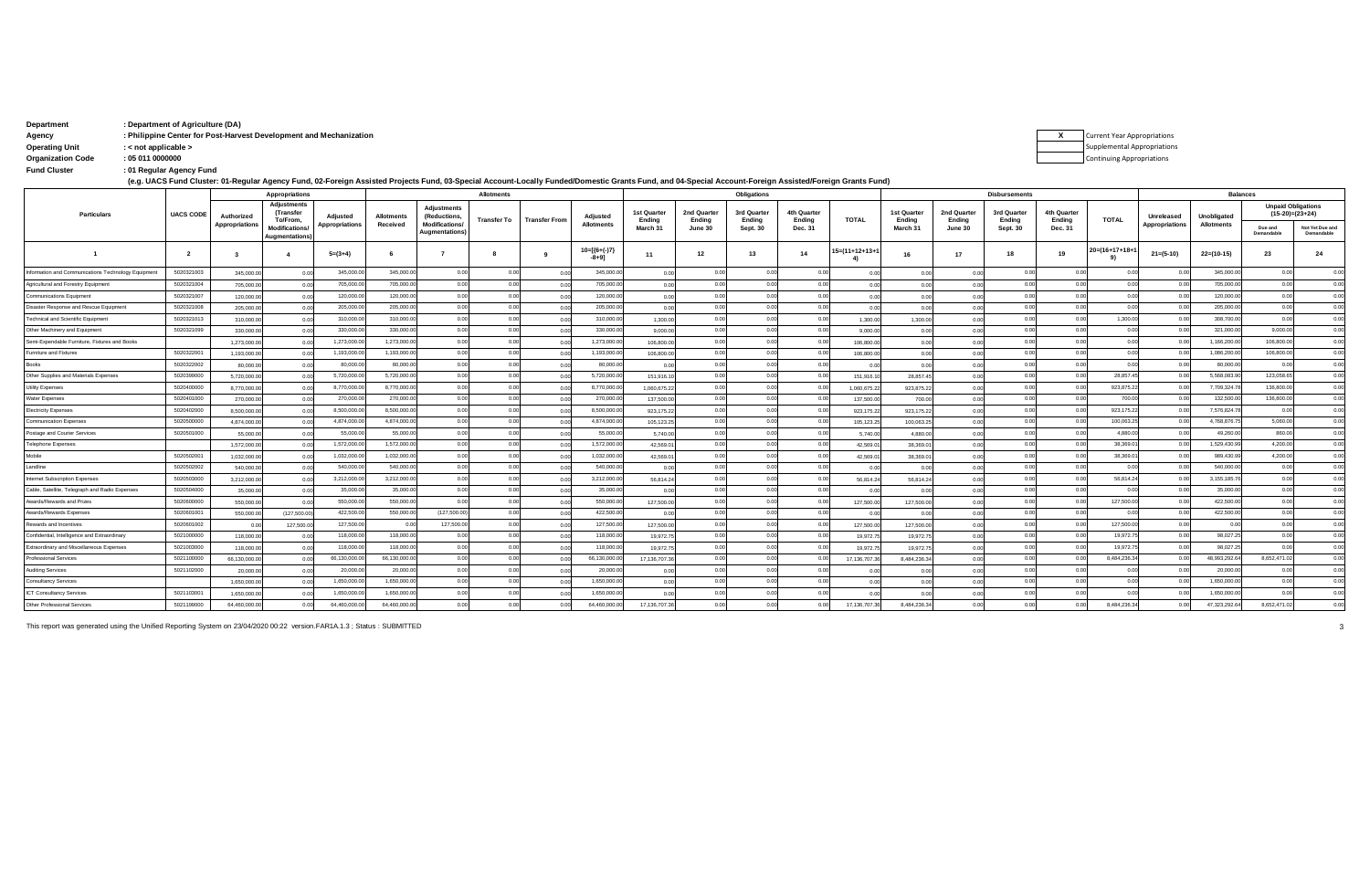| Department               | : Department of Agriculture (DA)                                   |                                    |
|--------------------------|--------------------------------------------------------------------|------------------------------------|
| Agency                   | : Philippine Center for Post-Harvest Development and Mechanization | <b>Current Year Appropriations</b> |
| <b>Operating Unit</b>    | $:$ < not applicable $>$                                           | Supplemental Appropriation         |
| <b>Organization Code</b> | : 05 011 0000000                                                   | <b>Continuing Appropriations</b>   |
| <b>Fund Cluster</b>      | . 01 Regular Agency Fund                                           |                                    |

**X** Supplemental Appropriations

of Regular Agency Fund (- و.g. UACS Fund Cluster: 01-Regular Agency Fund, 02-Foreign Assisted Projects Fund, 03-Special Account-Locally Funded/Domestic Grants Fund, and 04-Special Account-Foreign Assisted/Foreign Grants F

|                                                    |                  | Appropriations |                                                    | <b>Allotments</b>     |                   |                                                |             | Obligations          |                            |                       |                       |                       | <b>Disbursements</b>       |                |                            |                       |                       |                       | <b>Balances</b>        |                       |                   |                           |                               |
|----------------------------------------------------|------------------|----------------|----------------------------------------------------|-----------------------|-------------------|------------------------------------------------|-------------|----------------------|----------------------------|-----------------------|-----------------------|-----------------------|----------------------------|----------------|----------------------------|-----------------------|-----------------------|-----------------------|------------------------|-----------------------|-------------------|---------------------------|-------------------------------|
| <b>Particulars</b>                                 | <b>UACS CODE</b> | Authorized     | <b>Adjustments</b><br><b>(Transfer</b><br>To/From. | Adjusted              | <b>Allotments</b> | Adjustments<br>(Reductions.                    | Transfer To | <b>Transfer From</b> | Adjusted                   | 1st Quarter<br>Endina | 2nd Quarter<br>Ending | 3rd Quarter<br>Ending | 4th Quarter<br>Endina      | <b>TOTAL</b>   | 1st Quarter<br>Endina      | 2nd Quarter<br>Ending | 3rd Quarter<br>Ending | 4th Quarter<br>Ending | <b>TOTAL</b>           | Unreleased            | Unobligated       | <b>Unpaid Obligations</b> | $(15-20)=(23+24)$             |
|                                                    |                  | Appropriations | <b>Modifications</b><br>Augmentations              | <b>Appropriations</b> | Received          | <b>Modifications/</b><br><b>Augmentations)</b> |             |                      | <b>Allotments</b>          | March 31              | June 30               | <b>Sept. 30</b>       | Dec. 31                    |                | March 31                   | June 30               | <b>Sept. 30</b>       | Dec. 31               |                        | <b>Appropriations</b> | <b>Allotments</b> | Due and<br>Demandable     | Not Yet Due and<br>Demandable |
|                                                    | $\overline{2}$   |                |                                                    | $5=(3+4)$             |                   |                                                |             |                      | $10=[(6+(-)7)$<br>$-8+9$ ] | 11                    | 12                    | 13                    | 14                         | 15=(11+12+13+1 | 16                         | 17                    | 18                    | 19                    | $20 = (16 + 17 + 18 +$ | $21 = (5-10)$         | $22=(10-15)$      | 23                        | 24                            |
| nformation and Communications Technology Equipment | 5020321003       | 345,000.0      | 0.00                                               | 345,000.0             | 345,000.00        | 0.00                                           | 0.00        | 0.00                 | 345,000.0                  | 0.00                  | 0.00                  | 0.00                  | 0.00                       | 0.00           | 0 <sup>0<sup>c</sup></sup> | 0.00                  | 0.00                  | 0.00                  | 0.00                   | 0.00                  | 345,000.0         | 0.00                      | 0.00                          |
| Agricultural and Forestry Equipment                | 5020321004       | 705,000.0      | 0.00                                               | 705,000.0             | 705,000.00        | 0.00                                           | 0.00        | 0.00                 | 705,000.00                 | 0.00                  | 0.00                  | 0.00                  | 0.00                       | 0.00           | 0 <sup>0</sup>             | 0.00                  | 0.00                  | 0.00                  | 0.00                   | 0.00                  | 705,000.00        | 0.00                      | 0.00                          |
| <b>Communications Equipment</b>                    | 5020321007       | 120,000.0      | 0.00                                               | 120,000.0             | 120,000.00        | 0.00                                           | 0.00        | 0.00                 | 120,000.00                 | 0.00                  | 0.01                  | 0.00                  | 0.00                       | 0.00           | 0 <sup>0<sup>c</sup></sup> | 0.00                  | 0.00                  | 0.00                  | 0.00                   | 0.00                  | 120,000.00        | 0.00                      | 0.00                          |
| Disaster Response and Rescue Equipment             | 5020321008       | 205,000.0      | 00                                                 | 205,000.0             | 205,000.00        | 0.00                                           | 0.00        | 0.00                 | 205,000.00                 | 0.00                  | 00                    | 0.00                  | 0.00                       | 0.00           | 0.00                       | 0.00                  | 0.00                  | 0.00                  | 0.00                   | 0.00                  | 205,000.00        | 0.00                      | 0.00                          |
| <b>Technical and Scientific Equipment</b>          | 5020321013       | 310,000.0      | 0.00                                               | 310,000.0             | 310,000,00        | 0.00                                           | 0.00        | 0.00                 | 310,000.0                  | 1.300.00              | 0.00                  | 0.00                  | 0.00                       | 1,300.00       | 1,300.00                   | 0.00                  | 0.00                  | 0.00                  | 1,300.0                | 0.00                  | 308,700.00        | 0.00                      | 0.00                          |
| Other Machinery and Equipment                      | 5020321099       | 330,000.0      | 00                                                 | 330,000.0             | 330,000.00        | 0.00                                           | 0.00        | 0.00                 | 330,000.0                  | 9,000.00              | 0 <sub>0</sub>        | 0.00                  | 0.00                       | 9,000.0        | 0.00                       |                       | 0.00                  | 00                    | 0.0                    | 0.00                  | 321,000.00        | 9,000.00                  | 0.00                          |
| Semi-Expendable Furniture, Fixtures and Books      |                  | 1,273,000.     |                                                    | 1,273,000.0           | 1.273.000.00      | 0.00                                           | 0.00        | 0.00                 | 1,273,000.0                | 106,800.00            | 00                    | 0.00                  | 0.00                       | 106,800.00     | 0 <sup>0</sup>             |                       | 0.00                  |                       | 0 <sup>0</sup>         | 0.00                  | 1,166,200.0       | 106,800.00                | 0.00                          |
| Furniture and Fixtures                             | 5020322001       | 1.193.000.0    |                                                    | 1,193,000.0           | 1,193,000.00      | 0.00                                           | 0.00        | 0.00                 | 1,193,000.0                | 106,800.00            | 00                    | 0.00                  | 0.00                       | 106,800.00     | n nr                       |                       | 0.00                  | 0.00                  | 0 <sub>0</sub>         | 0.00                  | 1,086,200.0       | 106,800.0                 | 0.00                          |
| Books                                              | 5020322002       | 80,000.0       | 0.00                                               | 80,000.0              | 80,000.00         | 0.00                                           | 0.00        | 0.00                 | 80,000.0                   | 0.00                  | 00                    | 0.00                  | 0.00                       | 0 <sub>0</sub> | 0.00                       |                       | 0.00                  | 0.00                  | 0 <sub>0</sub>         | 0.00                  | 80,000.0          |                           | 0.00                          |
| Other Supplies and Materials Expenses              | 5020399000       | 5,720,000.0    | 0.00                                               | 5,720,000.            | 5,720,000.0       | 0.00                                           | 0.00        | 0.00                 | 5,720,000.0                | 151.916.10            | 0 <sub>0</sub>        | 0.00                  | 0.00                       | 151.916.1      | 28.857.4                   | 0.00                  | 0.00                  | 0.00                  | 28,857.4               | 0.00                  | 5,568,083.9       | 123,058.6                 | 0.00                          |
| Utility Expenses                                   | 5020400000       | 8,770,000.0    |                                                    | 8,770,000.            | 8,770,000.0       | 0.00                                           | 0.00        | 0.00                 | 8,770,000.0                | 1.060.675.22          | 00                    | 0.00                  | 0 <sup>0<sup>c</sup></sup> | 1.060.675.22   | 923.875.22                 |                       | 0.00                  |                       | 923,875.2              | 0.00                  | 7,709,324.7       | 136,800.0                 | 0.00                          |
| Water Expenses                                     | 5020401000       | 270,000.0      |                                                    | 270,000.              | 270,000.00        | 0.00                                           | 0.00        | 0.00                 | 270,000.0                  | 137,500.00            | 0 <sub>0</sub>        | 0.00                  | 0 <sup>0<sup>c</sup></sup> | 137,500.00     | 700.00                     | 0.00                  | 0.00                  |                       | 700.0                  | 0.00                  | 132,500.0         | 136,800.0                 | 0.00                          |
| <b>Electricity Expenses</b>                        | 5020402000       | 8,500,000.0    |                                                    | 8,500,000.            | 8,500,000.0       | 0.00                                           | 0.00        | 0.00                 | 8,500,000.0                | 923.175.22            | 0 <sub>0</sub>        | 0.00                  | 0.00                       | 923.175.22     | 923.175.22                 | 0.00                  | 0.00                  | 0.00                  | 923,175.2              | 0.00                  | 7,576,824.7       | 0.00                      | 0.00                          |
| <b>Communication Expenses</b>                      | 5020500000       | 4.874.000.0    |                                                    | 4,874,000.0           | 4,874,000.00      | 0.00                                           | 0.00        | 0.00                 | 4,874,000.00               | 105,123.25            | 0 <sub>0</sub>        | 0.00                  | 0.00                       | 105,123.2      | 100,063.25                 | 0.00                  | 0.00                  |                       | 100,063.2              | 0.00                  | 4,768,876.7       | 5,060.00                  | 0.00                          |
| Postage and Courier Services                       | 5020501000       | 55,000.0       |                                                    | 55,000.0              | 55,000.00         | 0.00                                           | 0.00        | 0.00                 | 55,000.0                   | 5,740.00              | 0 <sub>0</sub>        | 0.00                  | 0.00                       | 5,740.00       | 4,880.00                   | 0.00                  | 0.00                  | 00                    | 4,880.0                | 0.00                  | 49,260.0          | 860.00                    | 0.00                          |
| Telephone Expenses                                 |                  | 1,572,000.0    |                                                    | 1,572,000.0           | 1,572,000.00      | 0.00                                           | 0.00        | 0.00                 | 1,572,000.0                | 42,569.01             | 0 <sub>0</sub>        | 0.00                  | 0.00                       | 42,569.0       | 38,369.01                  | 0.00                  | 0.00                  |                       | 38,369.0               | 0.00                  | 1,529,430.9       | 4,200.0                   | 0.00                          |
| Mobile                                             | 5020502001       | 1,032,000.0    |                                                    | 1,032,000.0           | 1.032.000.00      | 0.00                                           | 0.00        | 0.00                 | 1.032.000.00               | 42,569.01             |                       | 0.00                  | 0.00                       | 42,569.0       | 38,369.01                  | 0.00                  | 0.00                  |                       | 38,369.0               | 0.00                  | 989.430.99        | 4.200.00                  | 0.00                          |
| Landline                                           | 5020502002       | 540,000.0      |                                                    | 540,000.              | 540,000.00        | 0.00                                           | 0.00        | 0.00                 | 540,000.0                  | 0.00                  |                       | 0.00                  | 0.00                       | 0.00           | 0.00                       | 0.00                  | 0.00                  |                       | 0.0                    | 0.00                  | 540,000.0         | 0 <sup>o</sup>            | 0.00                          |
| <b>Internet Subscription Expenses</b>              | 5020503000       | 3,212,000.0    |                                                    | 3,212,000.0           | 3.212.000.00      | 0.00                                           | 0.00        | 0.00                 | 3.212.000.0                | 56,814.24             | 00                    | 0.00                  | 0.00                       | 56,814.24      | 56,814.24                  | 0.00                  | 0.00                  | 00                    | 56.814.2               | 0.00                  | 3.155.185.7       |                           | 0.00                          |
| Cable, Satellite, Telegraph and Radio Expenses     | 5020504000       | 35,000.0       |                                                    | 35,000.0              | 35,000.00         | 0.00                                           | 0.00        | 0.00                 | 35,000.0                   | 0.00                  |                       | 0.00                  | 0.00                       | 0.00           | 0 <sup>0<sup>c</sup></sup> | 0.00                  | 0.00                  | n no                  | 0.0                    | 0.00                  | 35,000.0          | 0 <sup>o</sup>            | 0.00                          |
| Awards/Rewards and Prizes                          | 5020600000       | 550,000.0      |                                                    | 550,000.0             | 550,000.0         | 0.00                                           | 0.00        | 0.00                 | 550,000.0                  | 127,500.00            | 00                    | 0.00                  | 0.00                       | 127,500.00     | 127,500.00                 | 0.00                  | 0.00                  |                       | 127,500.0              | 0.00                  | 422,500.0         |                           | 0.00                          |
| Awards/Rewards Expenses                            | 5020601001       | 550,000.0      | (127,500.00)                                       | 422,500.0             | 550,000.0         | (127,500.00)                                   | 0.00        | 0.00                 | 422,500.0                  | 0.00                  | 0 <sub>0</sub>        | 0.00                  | 0.00                       | 0 <sub>0</sub> | 0 <sup>0<sup>c</sup></sup> | 0.00                  | 0.00                  | 0.00                  | 0.00                   | 0.00                  | 422,500.0         |                           | 0.00                          |
| Rewards and Incentives                             | 5020601002       | 0 <sub>0</sub> | 127,500.0                                          | 127,500.0             |                   | 127,500.0                                      | 0.00        | 0.00                 | 127,500.0                  | 127,500.00            | 0 <sub>0</sub>        | 0.00                  | 0.00                       | 127,500.00     | 127,500.00                 | 0.00                  | 0.00                  |                       | 127,500.0              | 00                    | 0.00              |                           | 0.00                          |
| Confidential, Intelligence and Extraordinary       | 5021000000       | 118,000.0      |                                                    | 118,000.0             | 118,000.0         | 0.00                                           | 0.00        | 0.00                 | 118,000.0                  | 19,972.75             | 0.00                  | 0.00                  | 0.00                       | 19.972.75      | 19,972.75                  | 0.00                  | 0.00                  |                       | 19,972.7               | 0.00                  | 98,027.25         | 0.00                      | 0.00                          |
| Extraordinary and Miscellaneous Expenses           | 5021003000       | 118,000.0      | 0.00                                               | 118,000.0             | 118,000.00        | 0.00                                           | 0.00        | 0.00                 | 118,000.00                 | 19,972.75             | 0 <sub>0</sub>        | 0.00                  | 0.00                       | 19,972.7       | 19,972.75                  | 0.00                  | 0.00                  |                       | 19,972.7               | 0.00                  | 98,027.25         | 0.00                      | 0.00                          |
| Professional Services                              | 5021100000       | 66.130.000.0   | 0.00                                               | 66,130,000.0          | 66,130,000.00     | 0.00                                           | 0.00        | 0.00                 | 66,130,000.0               | 17.136.707.36         | 0.00                  | 0.00                  | 0.00                       | 17.136.707.3   | 8,484,236.3                | 0.00                  | 0.00                  | 00                    | 8,484,236.3            | 0.00                  | 48,993,292.64     | 8,652,471.0               | 0.00                          |
| <b>Auditing Services</b>                           | 5021102000       | 20,000.0       | 0.00                                               | 20,000.0              | 20,000.00         | 0.00                                           | 0.00        | 0.00                 | 20,000.0                   | 0.00                  | 0.00                  | 0.00                  | 0 <sup>0<sup>c</sup></sup> | 0 <sub>0</sub> | 0.00                       | 0.00                  | 0.00                  | 0.00                  | 0.00                   | 0.00                  | 20,000.0          | 0.00                      | 0.00                          |
| <b>Consultancy Services</b>                        |                  | 1,650,000.0    | 0.00                                               | 1.650.000.0           | 1.650.000.00      | 0.00                                           | 0.00        | 0.00                 | 1.650.000.00               | 0.00                  | 0 <sub>0</sub>        | 0.00                  | 0 <sup>0<sup>c</sup></sup> | 0.00           | 0 <sup>0<sup>c</sup></sup> | 0.00                  | 0.00                  | 0.00                  | 0 <sup>0</sup>         | 0.00                  | 1.650.000.0       | 0.00                      | 0.00                          |
| ICT Consultancy Services                           | 5021103001       | 1.650.000.0    |                                                    | 1.650.000.            | 1,650,000.00      | 0.00                                           | 0.00        | 0.00                 | 1.650.000.0                | 0.00                  | 0 <sub>0</sub>        | 0.00                  | 0.00                       | 0.00           | n nr                       |                       | 0.00                  | 00                    | 0 <sup>0</sup>         | 0.00                  | 1.650.000.0       |                           | 0.00                          |
| Other Professional Services                        | 5021199000       | 64.460.000.    |                                                    | 64,460,000.           | 64.460.000.00     | 0.00                                           | 0.00        | 0.00                 | 64.460.000.00              | 17.136.707.36         |                       | 0.00                  | 0.00                       | 17,136,707.36  | 8,484,236.3                |                       | 0.00                  |                       | 8.484.236.3            | 0.00                  | 47.323.292.64     | 8.652.471.02              | 0.00                          |

This report was generated using the Unified Reporting System on 23/04/2020 00:22 version.FAR1A.1.3 ; Status : SUBMITTED 3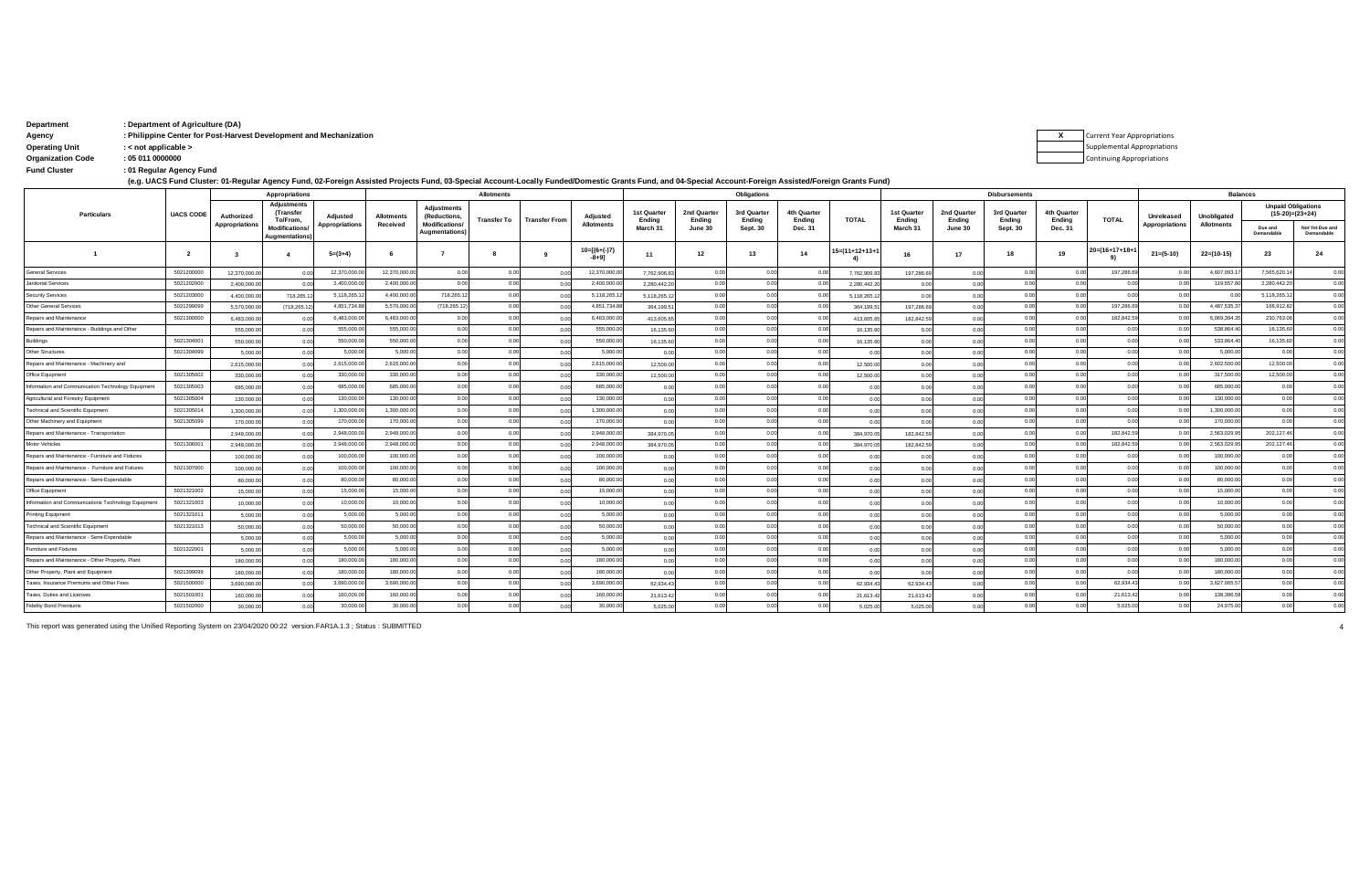| Department | : Department of Agriculture (DA)                                   |                                    |
|------------|--------------------------------------------------------------------|------------------------------------|
| Agency     | : Philippine Center for Post-Harvest Development and Mechanization | <b>Current Year Appropriations</b> |

**Operating Unit : < not applicable >**

| <b>Operating Unit</b> |  |  |
|-----------------------|--|--|
|                       |  |  |

**: Fund Cluster 01 Regular Agency Fund Organization Code : 05 011 0000000**

**(e.g. UACS Fund Cluster: 01-Regular Agency Fund, 02-Foreign Assisted Projects Fund, 03-Special Account-Locally Funded/Domestic Grants Fund, and 04-Special Account-Foreign Assisted/Foreign Grants Fund)**

|                                                     |                  |                       | <b>Appropriations</b>                        |                       |                   |                                        | <b>Allotments</b> |                      |                           |                       |                       | <b>Obligations</b>    |                       |                |                       |                            | <b>Disbursements</b>  |                       |                               |                |                   | <b>Balances</b>            |                                                |
|-----------------------------------------------------|------------------|-----------------------|----------------------------------------------|-----------------------|-------------------|----------------------------------------|-------------------|----------------------|---------------------------|-----------------------|-----------------------|-----------------------|-----------------------|----------------|-----------------------|----------------------------|-----------------------|-----------------------|-------------------------------|----------------|-------------------|----------------------------|------------------------------------------------|
| <b>Particulars</b>                                  | <b>UACS CODE</b> | Authorized            | <b>Adjustments</b><br>(Transfer<br>To/From,  | Adjusted              | <b>Allotments</b> | <b>Adjustments</b><br>(Reductions,     | Transfer To       | <b>Transfer From</b> | Adjusted                  | 1st Quarter<br>Ending | 2nd Quarter<br>Ending | 3rd Quarter<br>Ending | 4th Quarter<br>Ending | <b>TOTAL</b>   | 1st Quarter<br>Ending | 2nd Quarter<br>Ending      | 3rd Quarter<br>Ending | 4th Quarter<br>Ending | <b>TOTAL</b>                  | Unreleased     | Unobligated       |                            | <b>Unpaid Obligations</b><br>$(15-20)=(23+24)$ |
|                                                     |                  | <b>Appropriations</b> | <b>Modifications</b><br><b>Augmentations</b> | <b>Appropriations</b> | Received          | <b>Modifications/</b><br>Augmentations |                   |                      | <b>Allotments</b>         | March 31              | June 30               | <b>Sept. 30</b>       | Dec. 31               |                | March 31              | June 30                    | <b>Sept. 30</b>       | Dec. 31               |                               | Appropriations | <b>Allotments</b> | Due and<br>Demandable      | Not Yet Due and<br>Demandable                  |
|                                                     | $\overline{2}$   |                       |                                              | $5=(3+4)$             |                   |                                        |                   |                      | $10=[(6+(-)7)$<br>$-8+91$ | 11                    | 12                    | 13                    | 14                    | I5=(11+12+13+' | 16                    | 17                         | 18                    | 19                    | $20 = (16 + 17 + 18 +$<br>-91 | $21 = (5-10)$  | $22=(10-15)$      | 23                         | 24                                             |
| <b>General Services</b>                             | 5021200000       | 12.370.000.00         |                                              | 12,370,000.0          | 12,370,000.0      | 0.00                                   | 0.00              | 0.00                 | 12,370,000.0              | 7,762,906.8           | 0.00                  | 0.00                  | 0.00                  | 7,762,906.8    | 197,286.69            |                            | 0.00                  | 0.00                  | 197,286.69                    | 0.01           | 4,607,093.1       | 7,565,620.14               | 0.00                                           |
| Janitorial Services                                 | 5021202000       | 2.400.000.0           | 0.00                                         | 2,400,000.0           | 2,400,000.0       | 0.00                                   | 00                | 0.00                 | 2,400,000.0               | 2,280,442.2           | 0.00                  | 0.00                  | 0.00                  | 2,280,442.20   | 0.00                  |                            | 0.00                  | 0.00                  | 0.00                          | 00             | 119,557.8         | 2,280,442.20               | 0.00                                           |
| <b>Security Services</b>                            | 5021203000       | 4.400.000.0           | 718.265.1                                    | 5,118,265.1           | 4.400.000.0       | 718,265.12                             | 00                | 0.00                 | 5,118,265.1               | 5.118.265.1           | 0.00                  | 0.00                  | 0.00                  | 5.118.265.12   | 0 <sub>0</sub>        |                            | 0.00                  | 0.00                  | 0.00                          | 00             | 0.00              | 5.118.265.1                | 0.00                                           |
| <b>Other General Services</b>                       | 5021299099       | 5,570,000.0           | (718, 265.1)                                 | 4,851,734.8           | 5,570,000.0       | (718,265.12)                           | 0.00              | 0.00                 | 4,851,734.8               | 364,199.5             |                       | 0.00                  | 0.00                  | 364,199.5      | 197,286.69            |                            | 0.00                  | 0.00                  | 197,286.69                    | 0.01           | 4,487,535.3       | 166,912.8                  | 0.00                                           |
| Repairs and Maintenance                             | 5021300000       | 6.483,000.            |                                              | 6,483,000.0           | 6,483,000.0       | 0 <sup>0</sup>                         | 00                | 0.00                 | 6,483,000.0               | 413,605.6             |                       | 0.00                  | 0.00                  | 413,605.6      | 182,842.59            |                            | 0.00                  |                       | 182,842.59                    | 00             | 6,069,394.3       | 230,763.06                 | 0.00                                           |
| Repairs and Maintenance - Buildings and Other       |                  | 555,000.0             |                                              | 555,000.0             | 555,000.0         | 0.00                                   |                   | 0.00                 | 555,000.0                 | 16,135.6              |                       | 0.00                  | 0.00                  | 16,135.6       |                       |                            | 0.00                  |                       | 0.00                          | 00             | 538,864.4         | 16,135.6                   | 0.00                                           |
| Buildings                                           | 5021304001       | 550,000.0             | 0.00                                         | 550,000.0             | 550,000.0         | 0.00                                   |                   | 0.00                 | 550,000.0                 | 16,135.6              |                       | 0.00                  | 0.00                  | 16,135.60      | 0.00                  |                            | 0.00                  |                       | 0.00                          | 0 <sup>0</sup> | 533,864.4         | 16,135.6                   | 0.00                                           |
| Other Structures                                    | 5021304099       | 5,000.0               |                                              | 5,000.0               | 5,000.0           | 0.00                                   |                   | 0.00                 | 5.000.0                   | 0.00                  |                       | 0.00                  | 0.00                  | 0.00           | 0 <sub>0</sub>        |                            |                       |                       |                               | 00             | 5,000.0           | 00                         | 0.00                                           |
| Repairs and Maintenance - Machinery and             |                  | 2,615,000.0           |                                              | 2,615,000.0           | 2,615,000.0       | 0.00                                   |                   | 0.00                 | 2,615,000.0               | 12,500.00             |                       | 0.00                  | 0.00                  | 12,500.00      | 0 <sub>0</sub>        |                            |                       |                       | 0.00                          | 0 <sup>0</sup> | 2,602,500.0       | 12,500.00                  | 0.00                                           |
| Office Equipment                                    | 5021305002       | 330,000.0             |                                              | 330,000.0             | 330,000.0         | 0.00                                   | 00                | 0.00                 | 330,000.0                 | 12,500.00             |                       | 0.00                  | 0.00                  | 12,500.00      | 0.00                  |                            | 0.00                  |                       | 0.00                          | 0.01           | 317,500.0         | 12,500.00                  | 0.00                                           |
| Information and Communication Technology Equipment  | 5021305003       | 685,000.0             |                                              | 685,000.0             | 685,000.0         | 0.00                                   |                   | 00                   | 685,000.0                 | 0.00                  |                       | 0.00                  | 0.00                  | 0.00           |                       |                            |                       |                       | 0 <sub>0</sub>                |                | 685,000.0         | 0 <sub>0</sub>             | 0.00                                           |
| Agricultural and Forestry Equipment                 | 5021305004       | 130,000.0             | 0.00                                         | 130,000.00            | 130,000.0         | 0.00                                   |                   | 0.00                 | 130,000.0                 | 0.00                  |                       | 0.00                  | 0.00                  | 0.00           | 0.00                  |                            | 0.00                  |                       | 0.00                          | 0 <sup>0</sup> | 130,000.0         | 0.00                       | 0.00                                           |
| <b>Technical and Scientific Equipment</b>           | 5021305014       | 1.300.000.0           |                                              | 1,300,000.0           | 1.300.000.0       | 0.00                                   | 00                | 0.00                 | 1.300.000.0               | 0.00                  |                       | 0.00                  | 0.00                  | 0.00           | 0.00                  |                            | 0.00                  |                       | 0.00                          | 0.01           | 1.300.000.0       | 0 <sup>0<sup>c</sup></sup> | 0.00                                           |
| Other Machinery and Equipment                       | 5021305099       | 170,000.0             |                                              | 170,000.0             | 170,000.0         | 0.00                                   | 00                | 0.00                 | 170,000.0                 | 0.00                  |                       | 0.00                  | 0.00                  | 0.00           | 0.00                  |                            | 0.00                  | 0.00                  | 0.00                          | 0.01           | 170,000.00        | 0 <sup>0<sup>c</sup></sup> | 0.00                                           |
| Repairs and Maintenance - Transportation            |                  | 2,948,000.0           |                                              | 2,948,000.0           | 2,948,000.0       | 0.001                                  | 00                | 0.00                 | 2,948,000.0               | 384,970.0             |                       | 0.00                  | 0.00                  | 384,970.05     | 182.842.59            | 0 <sup>0<sup>c</sup></sup> | 0.00                  |                       | 182,842.5                     | 0.01           | 2,563,029.9       | 202,127.46                 | 0.00                                           |
| Motor Vehicles                                      | 5021306001       | 2.948.000.0           |                                              | 2,948,000.            | 2.948.000.0       | 0.00                                   | 00                | 0.00                 | 2.948.000.0               | 384,970.0             |                       | 0.00                  | 0.00                  | 384,970.0      | 182.842.5             | 0.00                       | 0.00                  |                       | 182,842.59                    | 0 <sup>0</sup> | 2,563,029.9       | 202,127.46                 | 0.00                                           |
| Repairs and Maintenance - Furniture and Fixtures    |                  | 100,000.0             | 0.00                                         | 100,000.0             | 100,000.0         | 0.00                                   | 0.00              | 0.00                 | 100,000.0                 | 0.00                  | 0.00                  | 0.00                  | 0.00                  | 0.00           | 0 <sub>0</sub>        | 0 <sup>0<sup>c</sup></sup> | 0.00                  | 0 <sub>0</sub>        | 0.00                          | 0.01           | 100,000.0         | 0.00                       | 0.00                                           |
| Repairs and Maintenance - Furniture and Fixtures    | 5021307000       | 100,000.00            |                                              | 100,000.0             | 100,000.0         | 0.00                                   | 0.00              | 00                   | 100,000.0                 | 0.00                  |                       | 0.00                  | 0.00                  | 0.00           | 0 <sub>0</sub>        |                            | 0.00                  | 0.00                  | 0.00                          | 0.01           | 100,000.0         | 0.00                       | 0.00                                           |
| Repairs and Maintenance - Semi-Expendable           |                  | 80,000.00             | 0.00                                         | 80,000.00             | 80,000.00         | 0.00                                   | 0.00              | 0.00                 | 80,000.0                  | 0.00                  | 0.00                  | 0.00                  | 0.00                  | 0.00           | 0.00                  | 0.00                       | 0.00                  | 0.00                  | 0.00                          | 0.01           | 80,000.00         | 0.00                       | 0.00                                           |
| Office Equipment                                    | 5021321002       | 15,000.00             | 0.00                                         | 15,000.00             | 15,000.00         | 0.00                                   | 0.00              | 0.00                 | 15,000.00                 | 0.00                  | 0.00                  | 0.00                  | 0.00                  | 0.00           | 0.00                  |                            | 0.00                  | 0.00                  | 0.00                          | 0.01           | 15,000.00         | 0.00                       | 0.00                                           |
| Information and Communications Technology Equipment | 5021321003       | 10,000.00             |                                              | 10,000.00             | 10,000.0          | 0.00                                   | 00                | 0.00                 | 10,000.00                 | 0.00                  |                       | 0.00                  | 0.00                  | 0.00           |                       |                            | 0.00                  |                       | 0.00                          | 00             | 10,000.00         | 0.00                       | 0.00                                           |
| <b>Printing Equipment</b>                           | 5021321011       | 5,000.00              |                                              | 5,000.0               | 5,000.0           | 0.00                                   |                   | 0.00                 | 5.000.0                   | 0.00                  |                       | 0.00                  | 0.00                  | 0.00           | 0 <sub>0</sub>        |                            | 0.00                  |                       | 0.00                          | 0 <sup>0</sup> | 5,000.00          |                            | 0.00                                           |
| <b>Technical and Scientific Equipment</b>           | 5021321013       | 50,000.0              |                                              | 50,000.0              | 50,000.0          | 0.00                                   |                   | 00                   | 50,000.0                  | 0.00                  |                       | 0.00                  | 0.00                  | 0.00           |                       |                            |                       |                       | 0.00                          | 0 <sup>0</sup> | 50,000.00         | 0 <sup>0<sup>c</sup></sup> | 0.00                                           |
| Repairs and Maintenance - Semi-Expendable           |                  | 5,000.00              |                                              | 5,000.0               | 5,000.0           | 0.00                                   | 00                | 0.00                 | 5.000.0                   | 0.00                  |                       | 0.00                  | 0.00                  | 0.00           |                       |                            |                       |                       | 0.00                          | 0.01           | 5,000.00          | 0.00                       | 0.00                                           |
| Furniture and Fixtures                              | 5021322001       | 5,000.00              | 0.00                                         | 5,000.0               | 5,000.0           | 0.00                                   |                   | 0.00                 | 5.000.0                   | 0.00                  |                       | 0.00                  | 0.00                  | 0.00           |                       |                            |                       |                       | 0.00                          | 00             | 5,000.00          | 0 <sup>0<sup>c</sup></sup> | 0.00                                           |
| Repairs and Maintenance - Other Property, Plant     |                  | 180,000.0             |                                              | 180,000.0             | 180,000.0         | 0.00                                   |                   | 0.00                 | 180,000.0                 | 0.00                  |                       | 0.00                  | 0.00                  | 0.00           |                       |                            |                       |                       | 0.00                          |                | 180,000.0         | 0 <sup>0<sup>c</sup></sup> | 0.00                                           |
| Other Property, Plant and Equipment                 | 5021399099       | 180,000.0             |                                              | 180,000.0             | 180,000.0         | 0.00                                   |                   | 0.00                 | 180,000.0                 | 0.00                  |                       | 0.00                  | 0.00                  | 0.00           | 0 <sub>0</sub>        |                            |                       |                       | 0.00                          |                | 180,000.0         |                            | 0.00                                           |
| Taxes, Insurance Premiums and Other Fees            | 5021500000       | 3.690.000.0           |                                              | 3,690,000.0           | 3,690,000.0       | 0.00                                   |                   | 0.00                 | 3,690,000.0               | 62,934.4              |                       | 0.00                  | 0.00                  | 62,934.43      | 62,934.43             |                            |                       |                       | 62,934.4                      |                | 3,627,065.5       |                            | 0.00                                           |
| Taxes, Duties and Licenses                          | 5021501001       | 160,000.0             |                                              | 160,000.0             | 160,000.0         | 0.00                                   |                   | 00                   | 160,000.0                 | 21,613.4              |                       | 0.00                  | 0.00                  | 21,613.4       | 21,613.42             |                            |                       |                       | 21,613.42                     |                | 138,386.5         |                            | 0.00                                           |
| <b>Fidelity Bond Premiums</b>                       | 5021502000       | 30,000.00             | 0.00                                         | 30,000.00             | 30,000.00         | 0.00                                   | 0.00              | 0.00                 | 30,000.00                 | 5,025.00              | 0.00                  | 0.00                  | 0.00                  | 5,025.00       | 5.025.00              | 0.00                       | 0.00                  | 0.00                  | 5.025.00                      | 0.00           | 24,975.00         |                            |                                                |

This report was generated using the Unified Reporting System on 23/04/2020 00:22 version.FAR1A.1.3 ; Status : SUBMITTED 4

**X** Supplemental Appropriations Continuing Appropriations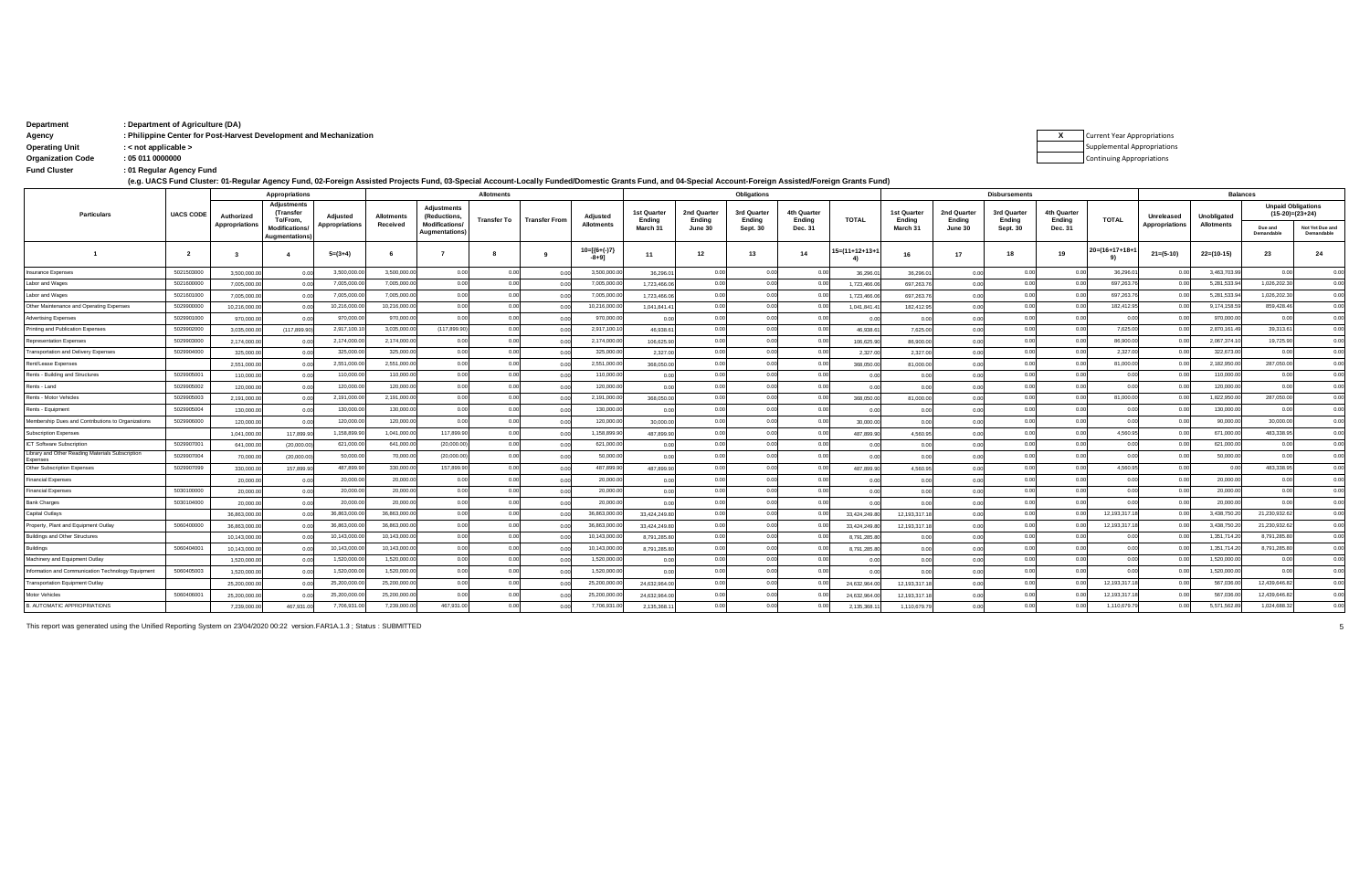| Department               | : Department of Agriculture (DA)                                   |                                    |
|--------------------------|--------------------------------------------------------------------|------------------------------------|
| Agency                   | : Philippine Center for Post-Harvest Development and Mechanization | <b>Current Year Appropriations</b> |
| <b>Operating Unit</b>    | : < not applicable >                                               | Supplemental Appropriation         |
| <b>Organization Code</b> | : 05 011 0000000                                                   | <b>Continuing Appropriations</b>   |

**: Fund Cluster 01 Regular Agency Fund**

**(e.g. UACS Fund Cluster: 01-Regular Agency Fund, 02-Foreign Assisted Projects Fund, 03-Special Account-Locally Funded/Domestic Grants Fund, and 04-Special Account-Foreign Assisted/Foreign Grants Fund)**

|                                                    |                  |                       | Appropriations                               | <b>Allotments</b>     |                   |                                               |                    |                      |                             |                       | Obligations           |                            |                       |                        |                       | <b>Disbursements</b>  |                       |                       |                | <b>Balances</b>            |                   |                                                |                               |
|----------------------------------------------------|------------------|-----------------------|----------------------------------------------|-----------------------|-------------------|-----------------------------------------------|--------------------|----------------------|-----------------------------|-----------------------|-----------------------|----------------------------|-----------------------|------------------------|-----------------------|-----------------------|-----------------------|-----------------------|----------------|----------------------------|-------------------|------------------------------------------------|-------------------------------|
| Particulars                                        | <b>UACS CODE</b> | Authorized            | <b>Adjustments</b><br>(Transfer<br>To/From.  | Adjusted              | <b>Allotments</b> | <b>Adiustments</b><br>(Reductions,            | <b>Transfer To</b> | <b>Transfer From</b> | Adjusted                    | 1st Quarter<br>Endina | 2nd Quarter<br>Ending | 3rd Quarter<br>Endina      | 4th Quarter<br>Endina | <b>TOTAL</b>           | 1st Quarter<br>Endina | 2nd Quarter<br>Endina | 3rd Quarter<br>Endina | 4th Quarter<br>Endina | <b>TOTAL</b>   | <b>Unreleased</b>          | Unobligated       | <b>Unpaid Obligations</b><br>$(15-20)=(23+24)$ |                               |
|                                                    |                  | <b>Appropriations</b> | <b>Modifications</b><br><b>Augmentations</b> | <b>Appropriations</b> | Received          | <b>Modifications/</b><br><b>Augmentations</b> |                    |                      | <b>Allotments</b>           | March 31              | June 30               | <b>Sept. 30</b>            | Dec. 31               |                        | March 31              | June 30               | <b>Sept. 30</b>       | Dec. 31               |                | Appropriations             | <b>Allotments</b> | Due and<br>Demandable                          | Not Yet Due and<br>Demandable |
|                                                    | $\overline{2}$   |                       |                                              | $5=(3+4)$             |                   |                                               |                    |                      | $10=[(6+(-)7)$<br>$-8 + 91$ | 11                    | 12                    | 13                         | 14                    | $15 = (11 + 12 + 13 +$ | 16                    | 17                    | 18                    | 19                    | 20=(16+17+18+1 | $21 = (5-10)$              | $22=(10-15)$      | 23                                             | 24                            |
| nsurance Expenses                                  | 5021503000       | 3,500,000,00          | 0.00                                         | 3,500,000.            | 3,500,000.0       | 0.01                                          | 0.00               | 0.00                 | 3,500,000.0                 | 36,296.01             | 0.00                  | 0.00                       | 0.00                  | 36,296.0               | 36,296.0              | 0.00                  | 0.00                  | 0.00                  | 36,296.0       | 000                        | 3,463,703.9       | 0.00                                           | 0.00                          |
| Labor and Wages                                    | 5021600000       | 7,005,000.00          | 0.00                                         | 7.005.000             | 7.005.000.0       | 0.00                                          | 0.00               | 0.00                 | 7.005.000.0                 | 1,723,466.06          |                       | 0.00                       | 0.00                  | 1,723,466.0            | 697,263.7             | 0.00                  | 0.00                  | 00                    | 697,263.7      | 00                         | 5.281.533.9       | 1.026.202.30                                   | 0.00                          |
| Labor and Wages                                    | 5021601000       | 7.005.000.00          |                                              | 7.005.000.            | 7.005.000.0       | 0.00                                          | 0.00               | 0.00                 | 7.005.000.0                 | 1.723.466.06          |                       | 0.00                       | 0.00                  | 1,723,466.0            | 697.263.7             | 0.00                  | 0.00                  | 00                    | 697,263.7      | 0.00                       | 5.281.533.9       | 1.026.202.30                                   | 0.00                          |
| Other Maintenance and Operating Expenses           | 5029900000       | 10.216.000.00         | 0 <sub>0</sub>                               | 10,216,000.           | 10,216,000.0      | 0.00                                          | 0.00               | 0.00                 | 10,216,000.0                | 1.041.841.41          |                       | 0.00                       | 0.00                  | 1.041.841.4            | 182.412.95            | 0.00                  | 0.00                  | 0 <sup>0</sup>        | 182,412.9      | 0 <sup>0<sup>c</sup></sup> | 9,174,158.5       | 859,428.46                                     | 0.00                          |
| <b>Advertising Expenses</b>                        | 5029901000       | 970,000.00            | 0 <sub>0</sub>                               | 970,000.0             | 970,000.0         | 0.00                                          | 0.00               | 0.00                 | 970,000.0                   | 0.00                  | 0.00                  | 0.00                       | 0.00                  | 0.00                   | 0.00                  | 0.00                  | 0.00                  | 0.00                  | 0.00           | 0.00                       | 970,000.0         | 0.00                                           | 0.00                          |
| Printing and Publication Expenses                  | 5029902000       | 3.035.000.00          | (117,899.90                                  | 2.917.100.1           | 3,035,000.0       | (117,899.90                                   | 0.00               | 0.00                 | 2,917,100.1                 | 46.938.61             | 00                    | 0.00                       | 0.00                  | 46.938.61              | 7,625.00              | 0.00                  | 0.00                  | 00                    | 7,625.00       | 00                         | 2,870,161.4       | 39,313.61                                      | 0.00                          |
| <b>Representation Expenses</b>                     | 5029903000       | 2.174.000.00          | 0 <sub>0</sub>                               | 2,174,000.0           | 2,174,000.0       | 0.00                                          | 0.00               | 0.00                 | 2,174,000.0                 | 106.625.90            | 0.00                  | 0.00                       | 0.00                  | 106,625.9              | 86,900.00             | 0.00                  | 0.00                  | 0.00                  | 86,900.0       | 0.00                       | 2,067,374.1       | 19,725.90                                      | 0.00                          |
| <b>Transportation and Delivery Expenses</b>        | 5029904000       | 325,000.00            | 0 <sub>0</sub>                               | 325,000.0             | 325,000.0         | 0.00                                          | 0.00               | 0.00                 | 325,000.0                   | 2,327.00              |                       | 0.00                       | 0.00                  | 2,327.0                | 2,327.00              | 0.00                  | 0.00                  | 0.00                  | 2,327.00       | 0.00                       | 322,673.0         | 0.00                                           | 0.00                          |
| Rent/Lease Expenses                                |                  | 2,551,000.00          |                                              | 2,551,000.0           | 2,551,000.0       | 0.00                                          | 0.00               | 0.00                 | 2,551,000.0                 | 368,050.00            | 00                    | 0.00                       | 0.00                  | 368,050.0              | 81,000.00             | 0.00                  | 0.00                  | 0.00                  | 81,000.0       | 0.00                       | 2,182,950.0       | 287.050.00                                     | 0.00                          |
| Rents - Building and Structures                    | 5029905001       | 110,000.00            | 0.00                                         | 110,000.0             | 110,000.00        | 0.00                                          | 0.00               | 0.00                 | 110,000.0                   | 0.00                  |                       | 0.00                       | 0.00                  | 0.00                   | 0.00                  | 0.00                  | 0.00                  | 0.00                  | 0.00           | 0 <sup>0<sup>c</sup></sup> | 110,000.0         | 0.00                                           | 0.00                          |
| Rents - Land                                       | 5029905002       | 120,000.00            | 0.00                                         | 120,000.00            | 120,000.00        | 0.00                                          | 0.00               | 0.00                 | 120,000.0                   | 0.00                  | 0.00                  | 0.00                       | 0.00                  | 0.00                   | 0.00                  | 0.00                  | 0.00                  | 0.00                  | 0.00           | 0.00                       | 120,000.0         | 0.00                                           | 0.00                          |
| Rents - Motor Vehicles                             | 5029905003       | 2,191,000.00          | 0.00                                         | 2,191,000.0           | 2,191,000.00      | 0.00                                          | 0.00               | 0.00                 | 2,191,000.0                 | 368,050,00            |                       | 0.00                       | 0.00                  | 368,050.0              | 81,000.00             | 0.00                  | 0.00                  | 0 <sup>0</sup>        | 81,000.00      | 0.00                       | 1,822,950.0       | 287,050.00                                     | 0.00                          |
| Rents - Equipment                                  | 5029905004       | 130,000.00            | 0.00                                         | 130,000.00            | 130,000.00        | 0.00                                          | 0.00               | 0.00                 | 130,000.0                   | 0.00                  | 0.00                  | 0.00                       | 0.00                  | 0.00                   | 0.00                  | 0.00                  | 0.00                  | 0.00                  | 0.00           | 0.00                       | 130,000.0         | 0.00                                           | 0.00                          |
| Membership Dues and Contributions to Organizations | 5029906000       | 120,000.00            |                                              | 120,000.00            | 120,000.00        | 0.01                                          | 0.00               | 0.00                 | 120,000.0                   | 30,000.00             |                       | 0.00                       | 0.00                  | 30,000.0               |                       |                       | 0.00                  | 0.00                  | 0.00           | 0.00                       | 90,000.00         | 30,000.00                                      | 0.00                          |
| <b>Subscription Expenses</b>                       |                  | 1.041.000.00          | 117,899.9                                    | 1,158,899.90          | 1,041,000.0       | 117,899.9                                     | 0.00               | 0.00                 | 1,158,899.9                 | 487.899.90            | 00                    | 0.00                       | 0.00                  | 487,899.9              | 4.560.9               |                       | 0.00                  | 0 <sup>0</sup>        | 4,560.95       | 0.00                       | 671,000.0         | 483,338.95                                     | 0.00                          |
| ICT Software Subscription                          | 5029907001       | 641,000.0             | (20.000.0)                                   | 621,000.00            | 641,000.0         | (20.000.00)                                   | 0.00               | 0.00                 | 621,000.0                   | 0.00                  | 00                    | 0.00                       | 0.00                  | 0 <sub>0</sub>         |                       |                       | 0 <sub>0</sub>        |                       | 0.00           | 0.00                       | 621,000.0         | 0.00                                           | 0.00                          |
| Library and Other Reading Materials Subscription   | 5029907004       | 70,000.00             | (20,000.0)                                   | 50,000.00             | 70,000.0          | (20,000.00)                                   | 0.00               | 0.00                 | 50,000.0                    | 0.00                  | 00                    | 0.00                       | 0.00                  |                        |                       |                       | 0 <sub>0</sub>        |                       | 0.00           | 0.00                       | 50,000.0          | 0.00                                           | 0.00                          |
| Other Subscription Expenses                        | 5029907099       | 330,000.00            | 157,899.9                                    | 487,899.90            | 330,000.0         | 157,899.9                                     | 0.00               | 0.00                 | 487,899.9                   | 487.899.90            |                       | 0.00                       | 0.00                  | 487,899.90             | 4.560.95              |                       | 0.00                  | 0.00                  | 4,560.95       | 0 <sub>0</sub>             | 0.00              | 483,338.95                                     | 0.00                          |
| <b>Financial Expenses</b>                          |                  | 20,000.00             |                                              | 20,000.0              | 20,000.0          | 0.01                                          | 00                 | 0.00                 | 20,000.0                    | 0.00                  | 00                    | 0.00                       | 0.00                  | 0 <sup>0</sup>         |                       |                       | 0.00                  |                       | 00             | 00                         | 20,000.0          | 0.00                                           | 0.00                          |
| <b>Financial Expenses</b>                          | 5030100000       | 20,000.00             |                                              | 20,000.0              | 20,000.0          | 0.01                                          | 0.00               | 0.00                 | 20,000.0                    | 0.00                  | 00                    | 0.00                       | 0.00                  | 0.00                   |                       |                       | 0.00                  |                       | 0.0            | 0.00                       | 20,000.0          | 0.00                                           | 0.00                          |
| <b>Bank Charges</b>                                | 5030104000       | 20,000.00             | 0.00                                         | 20,000.0              | 20,000.0          | 0.01                                          | 0.00               | 0.00                 | 20,000.0                    | 0.00                  |                       | 0.00                       | 0.00                  | 0 <sup>0</sup>         | n ni                  |                       | 0.00                  | 0.00                  | 00             | 0 <sup>0<sup>c</sup></sup> | 20,000.0          | 0.00                                           | 0.00                          |
| Capital Outlays                                    |                  | 36,863,000.0          |                                              | 36,863,000            | 36.863.000.0      | 0.00                                          | 0.00               | 0.00                 | 36.863.000.0                | 33,424,249.80         | 00                    | 0.00                       | 0.00                  | 33,424,249.8           | 12,193,317.           |                       | 0.00                  |                       | 12,193,317.1   | 00                         | 3,438,750.2       | 21,230,932.62                                  | 0.00                          |
| Property, Plant and Equipment Outlay               | 5060400000       | 36.863.000.0          |                                              | 36,863,000.           | 36,863,000.0      | 0.00                                          | 00                 | 0.00                 | 36,863,000.0                | 33,424,249.80         |                       | 0.00                       | 0.00                  | 33,424,249.8           | 12.193.317.           |                       | 0.00                  |                       | 12,193,317.1   | 00                         | 3,438,750.2       | 21,230,932.62                                  | 0.00                          |
| <b>Buildings and Other Structures</b>              |                  | 10.143.000.0          |                                              | 10.143.000.           | 10.143.000.0      | 0.00                                          | 0.00               | 0.00                 | 10.143.000.0                | 8,791,285.80          | 0.00                  | 0.00                       | 0.00                  | 8,791,285.8            |                       |                       | 0.00                  |                       | 0.0            | 0 <sub>0</sub>             | 1.351.714.2       | 8,791,285.80                                   | 0.00                          |
| Buildings                                          | 5060404001       | 10.143.000.00         |                                              | 10,143,000.           | 10,143,000.0      | 0.00                                          | 0.00               | 0.00                 | 10,143,000.0                | 8,791,285.80          |                       | 0.00                       | 0.00                  | 8,791,285.8            |                       |                       | 0.00                  |                       | 00             | 0 <sub>0</sub>             | 1,351,714.2       | 8,791,285.80                                   | 0.00                          |
| Machinery and Equipment Outlay                     |                  | 1.520.000.0           |                                              | 1,520,000.            | 1,520,000.0       | 0.00                                          | 0.00               | 0.00                 | 1,520,000.0                 | 0.00                  |                       | 0.00                       | 0.00                  | 0 <sup>0</sup>         | 0 <sup>o</sup>        |                       | 0.00                  | 00                    | 00             | 00                         | 1,520,000.0       | 0.00                                           | 0.00                          |
| Information and Communication Technology Equipment | 5060405003       | 1.520.000.0           |                                              | 1.520.000.0           | 1.520.000.0       | 0.01                                          | 0.00               | 0.00                 | 1.520.000.0                 | 0.00                  | 00                    | 0.00                       | 0.00                  | 0 <sub>0</sub>         |                       |                       | 0 <sub>0</sub>        | 00                    | 0 <sup>0</sup> | 0.00                       | 1.520.000.0       | 0.00                                           | 0.00                          |
| <b>Transportation Equipment Outlay</b>             |                  | 25,200,000.0          |                                              | 25,200,000.0          | 25,200,000.0      | 0.00                                          | 0.00               | 0.00                 | 25,200,000.0                | 24.632.964.00         | 0.00                  | 0.00                       | 0.00                  | 24.632.964.0           | 12.193.317.           |                       | 0.00                  |                       | 12,193,317.1   | 0.00                       | 567,036.00        | 12,439,646.82                                  | 0.00                          |
| Motor Vehicles                                     | 5060406001       | 25,200,000.0          |                                              | 25,200,000.           | 25,200,000.0      | 0.01                                          | 0.00               | 0.00                 | 25,200,000.0                | 24,632,964.00         | 0.00                  | 0.00                       | 0.00                  | 24,632,964.0           | 12,193,317.1          |                       | 0.00                  | 0.0                   | 12,193,317.1   | 0.00                       | 567,036.0         | 12.439.646.82                                  | 0.00                          |
| B. AUTOMATIC APPROPRIATIONS                        |                  | 7.239.000.0           | 467.931.0                                    | 7,706,931.0           | 7,239,000.0       | 467,931.0                                     | 0.00               | 0.00                 | 7,706,931.0                 | 2.135.368.1           |                       | 0 <sup>0<sup>c</sup></sup> | 0.00                  | 2,135,368.             | 1.110.679.7           |                       | 0.00                  |                       | 1,110,679.7    | 0 <sup>0<sup>c</sup></sup> | 5.571.562.8       | 1.024.688.32                                   | 0.00                          |

This report was generated using the Unified Reporting System on 23/04/2020 00:22 version.FAR1A.1.3 ; Status : SUBMITTED 5

**X** Supplemental Appropriations Continuing Appropriations